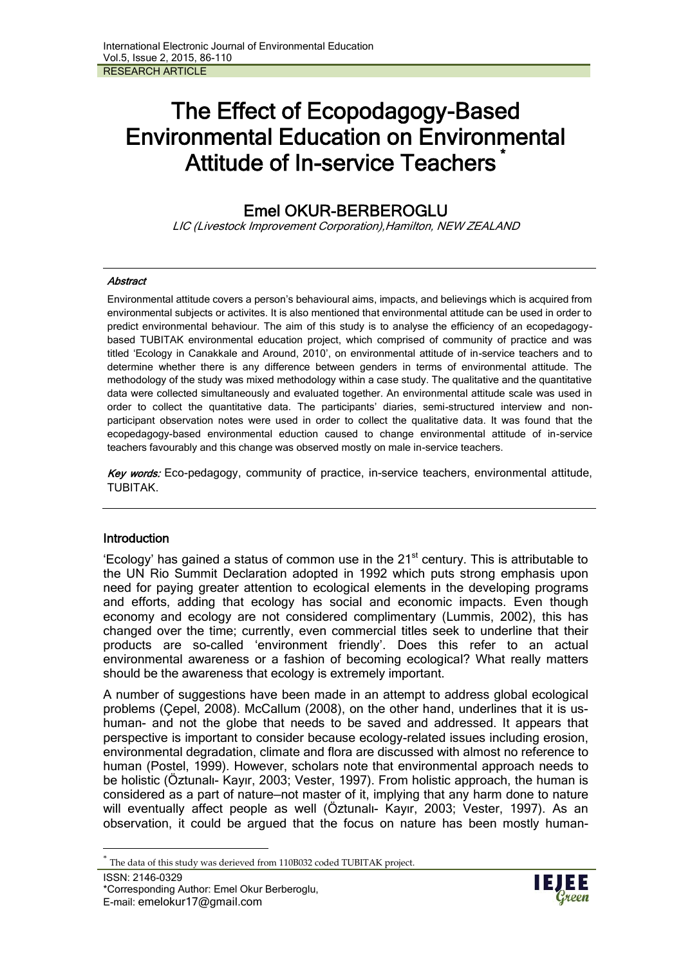# **The Effect of Ecopodagogy-Based Environmental Education on Environmental Attitude of In-service Teachers \***

## **Emel OKUR-BERBEROGLU**

*LIC (Livestock Improvement Corporation),Hamilton, NEW ZEALAND*

#### *Abstract*

Environmental attitude covers a person's behavioural aims, impacts, and believings which is acquired from environmental subjects or activites. It is also mentioned that environmental attitude can be used in order to predict environmental behaviour. The aim of this study is to analyse the efficiency of an ecopedagogy based TUBITAK environmental education project, which comprised of community of practice and was titled 'Ecology in Canakkale and Around, 2010', on environmental attitude of in-service teachers and to determine whether there is any difference between genders in terms of environmental attitude. The methodology of the study was mixed methodology within a case study. The qualitative and the quantitative data were collected simultaneously and evaluated together. An environmental attitude scale was used in order to collect the quantitative data. The participants' diaries, semi-structured interview and non participant observation notes were used in order to collect the qualitative data. It was found that the ecopedagogy-based environmental eduction caused to change environmental attitude of in-service teachers favourably and this change was observed mostly on male in-service teachers.

*Key words:* Eco-pedagogy, community of practice, in-service teachers, environmental attitude, TUBITAK.

#### **Introduction**

'Ecology' has gained a status of common use in the  $21<sup>st</sup>$  century. This is attributable to the UN Rio Summit Declaration adopted in 1992 which puts strong emphasis upon need for paying greater attention to ecological elements in the developing programs and efforts, adding that ecology has social and economic impacts. Even though economy and ecology are not considered complimentary (Lummis, 2002), this has changed over the time; currently, even commercial titles seek to underline that their products are so-called 'environment friendly'. Does this refer to an actual environmental awareness or a fashion of becoming ecological? What really matters should be the awareness that ecology is extremely important.

A number of suggestions have been made in an attempt to address global ecological problems (Çepel, 2008). McCallum (2008), on the other hand, underlines that it is us human- and not the globe that needs to be saved and addressed. It appears that perspective is important to consider because ecology-related issues including erosion, environmental degradation, climate and flora are discussed with almost no reference to human (Postel, 1999). However, scholars note that environmental approach needs to be holistic (Öztunalı- Kayır, 2003; Vester, 1997). From holistic approach, the human is considered as a part of nature—not master of it, implying that any harm done to nature will eventually affect people as well (Öztunalı- Kayır, 2003; Vester, 1997). As an observation, it could be argued that the focus on nature has been mostly human-



The data of this study was derieved from 110B032 coded TUBITAK project.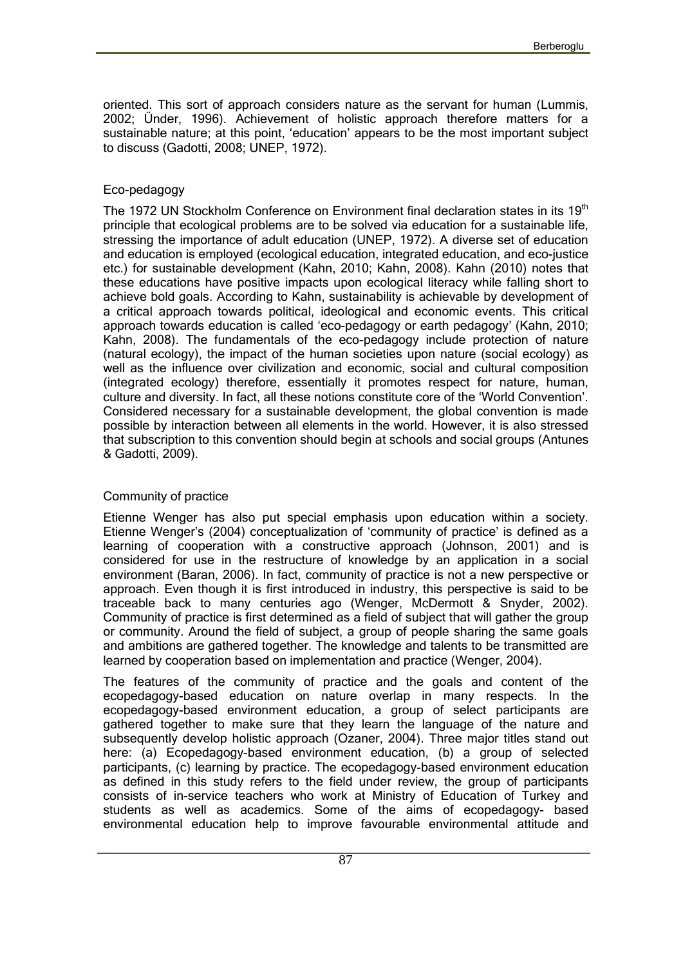oriented. This sort of approach considers nature as the servant for human (Lummis, 2002; Ünder, 1996). Achievement of holistic approach therefore matters for a sustainable nature; at this point, 'education' appears to be the most important subject to discuss (Gadotti, 2008; UNEP, 1972).

#### Eco-pedagogy

The 1972 UN Stockholm Conference on Environment final declaration states in its 19<sup>th</sup> principle that ecological problems are to be solved via education for a sustainable life, stressing the importance of adult education (UNEP, 1972). A diverse set of education and education is employed (ecological education, integrated education, and eco-justice etc.) for sustainable development (Kahn, 2010; Kahn, 2008). Kahn (2010) notes that these educations have positive impacts upon ecological literacy while falling short to achieve bold goals. According to Kahn, sustainability is achievable by development of a critical approach towards political, ideological and economic events. This critical approach towards education is called 'eco-pedagogy or earth pedagogy' (Kahn, 2010; Kahn, 2008). The fundamentals of the eco-pedagogy include protection of nature (natural ecology), the impact of the human societies upon nature (social ecology) as well as the influence over civilization and economic, social and cultural composition (integrated ecology) therefore, essentially it promotes respect for nature, human, culture and diversity. In fact, all these notions constitute core of the 'World Convention'. Considered necessary for a sustainable development, the global convention is made possible by interaction between all elements in the world. However, it is also stressed that subscription to this convention should begin at schools and social groups (Antunes & Gadotti, 2009).

#### Community of practice

Etienne Wenger has also put special emphasis upon education within a society. Etienne Wenger's (2004) conceptualization of 'community of practice' is defined as a learning of cooperation with a constructive approach (Johnson, 2001) and is considered for use in the restructure of knowledge by an application in a social environment (Baran, 2006). In fact, community of practice is not a new perspective or approach. Even though it is first introduced in industry, this perspective is said to be traceable back to many centuries ago (Wenger, McDermott & Snyder, 2002). Community of practice is first determined as a field of subject that will gather the group or community. Around the field of subject, a group of people sharing the same goals and ambitions are gathered together. The knowledge and talents to be transmitted are learned by cooperation based on implementation and practice (Wenger, 2004).

The features of the community of practice and the goals and content of the ecopedagogy-based education on nature overlap in many respects. In the ecopedagogy-based environment education, a group of select participants are gathered together to make sure that they learn the language of the nature and subsequently develop holistic approach (Ozaner, 2004). Three major titles stand out here: (a) Ecopedagogy-based environment education, (b) a group of selected participants, (c) learning by practice. The ecopedagogy-based environment education as defined in this study refers to the field under review, the group of participants consists of in-service teachers who work at Ministry of Education of Turkey and students as well as academics. Some of the aims of ecopedagogy- based environmental education help to improve favourable environmental attitude and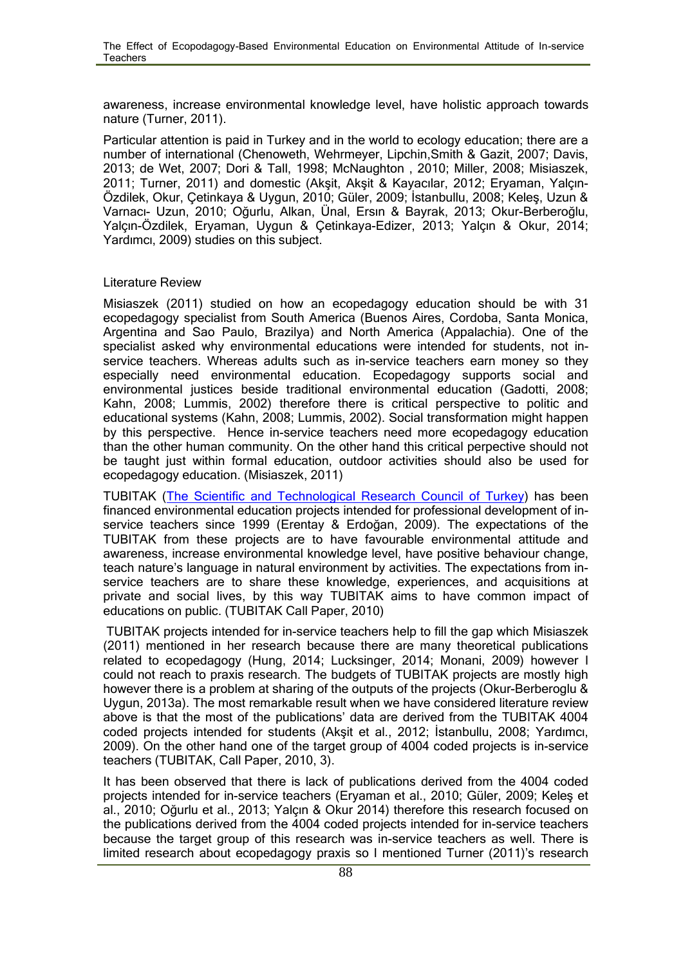awareness, increase environmental knowledge level, have holistic approach towards nature (Turner, 2011).

Particular attention is paid in Turkey and in the world to ecology education; there are a number of international (Chenoweth, Wehrmeyer, Lipchin,Smith & Gazit, 2007; Davis, 2013; de Wet, 2007; Dori & Tall, 1998; McNaughton , 2010; Miller, 2008; Misiaszek, 2011; Turner, 2011) and domestic (Akşit, Akşit & Kayacılar, 2012; Eryaman, Yalçın- Özdilek, Okur, Çetinkaya & Uygun, 2010; Güler, 2009; İstanbullu, 2008; Keleş, Uzun & Varnacı- Uzun, 2010; Oğurlu, Alkan, Ünal, Ersın & Bayrak, 2013; Okur-Berberoğlu, Yalçın-Özdilek, Eryaman, Uygun & Çetinkaya-Edizer, 2013; Yalçın & Okur, 2014; Yardımcı, 2009) studies on this subject.

#### Literature Review

Misiaszek (2011) studied on how an ecopedagogy education should be with 31 ecopedagogy specialist from South America (Buenos Aires, Cordoba, Santa Monica, Argentina and Sao Paulo, Brazilya) and North America (Appalachia). One of the specialist asked why environmental educations were intended for students, not in service teachers. Whereas adults such as in-service teachers earn money so they especially need environmental education. Ecopedagogy supports social and environmental justices beside traditional environmental education (Gadotti, 2008; Kahn, 2008; Lummis, 2002) therefore there is critical perspective to politic and educational systems (Kahn, 2008; Lummis, 2002). Social transformation might happen by this perspective. Hence in-service teachers need more ecopedagogy education than the other human community. On the other hand this critical perpective should not be taught just within formal education, outdoor activities should also be used for ecopedagogy education. (Misiaszek, 2011)

TUBITAK (The Scientific and Technological Research Council of Turkey) has been financed environmental education projects intended for professional development of in service teachers since 1999 (Erentay & Erdoğan, 2009). The expectations of the TUBITAK from these projects are to have favourable environmental attitude and awareness, increase environmental knowledge level, have positive behaviour change, teach nature's language in natural environment by activities. The expectations from in service teachers are to share these knowledge, experiences, and acquisitions at private and social lives, by this way TUBITAK aims to have common impact of educations on public. (TUBITAK Call Paper, 2010)

TUBITAK projects intended for in-service teachers help to fill the gap which Misiaszek (2011) mentioned in her research because there are many theoretical publications related to ecopedagogy (Hung, 2014; Lucksinger, 2014; Monani, 2009) however I could not reach to praxis research. The budgets of TUBITAK projects are mostly high however there is a problem at sharing of the outputs of the projects (Okur-Berberoglu & Uygun, 2013a). The most remarkable result when we have considered literature review above is that the most of the publications' data are derived from the TUBITAK 4004 coded projects intended for students (Akşit et al., 2012; İstanbullu, 2008; Yardımcı, 2009). On the other hand one of the target group of 4004 coded projects is in-service teachers (TUBITAK, Call Paper, 2010, 3).

It has been observed that there is lack of publications derived from the 4004 coded projects intended for in-service teachers (Eryaman et al., 2010; Güler, 2009; Keleş et al., 2010; Oğurlu et al., 2013; Yalçın & Okur 2014) therefore this research focused on the publications derived from the 4004 coded projects intended for in-service teachers because the target group of this research was in-service teachers as well. There is limited research about ecopedagogy praxis so I mentioned Turner (2011)'s research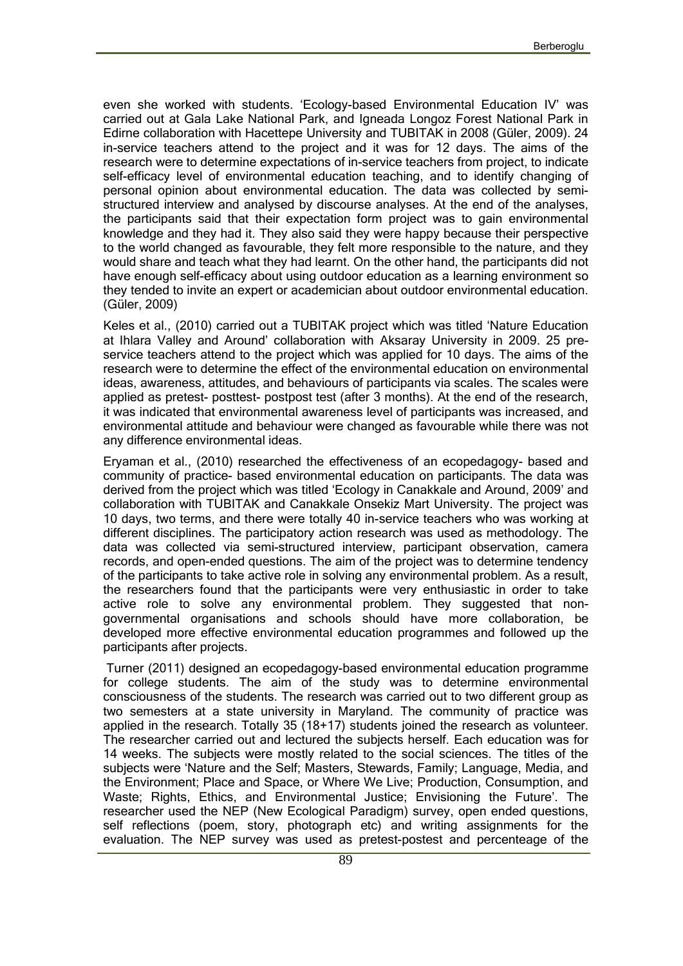even she worked with students. 'Ecology-based Environmental Education IV' was carried out at Gala Lake National Park, and Igneada Longoz Forest National Park in Edirne collaboration with Hacettepe University and TUBITAK in 2008 (Güler, 2009). 24 in-service teachers attend to the project and it was for 12 days. The aims of the research were to determine expectations of in-service teachers from project, to indicate self-efficacy level of environmental education teaching, and to identify changing of personal opinion about environmental education. The data was collected by semi structured interview and analysed by discourse analyses. At the end of the analyses, the participants said that their expectation form project was to gain environmental knowledge and they had it. They also said they were happy because their perspective to the world changed as favourable, they felt more responsible to the nature, and they would share and teach what they had learnt. On the other hand, the participants did not have enough self-efficacy about using outdoor education as a learning environment so they tended to invite an expert or academician about outdoor environmental education. (Güler, 2009)

Keles et al., (2010) carried out a TUBITAK project which was titled 'Nature Education at Ihlara Valley and Around' collaboration with Aksaray University in 2009. 25 pre service teachers attend to the project which was applied for 10 days. The aims of the research were to determine the effect of the environmental education on environmental ideas, awareness, attitudes, and behaviours of participants via scales. The scales were applied as pretest- posttest- postpost test (after 3 months). At the end of the research, it was indicated that environmental awareness level of participants was increased, and environmental attitude and behaviour were changed as favourable while there was not any difference environmental ideas.

Eryaman et al., (2010) researched the effectiveness of an ecopedagogy- based and community of practice- based environmental education on participants. The data was derived from the project which was titled 'Ecology in Canakkale and Around, 2009' and collaboration with TUBITAK and Canakkale Onsekiz Mart University. The project was 10 days, two terms, and there were totally 40 in-service teachers who was working at different disciplines. The participatory action research was used as methodology. The data was collected via semi-structured interview, participant observation, camera records, and open-ended questions. The aim of the project was to determine tendency of the participants to take active role in solving any environmental problem. As a result, the researchers found that the participants were very enthusiastic in order to take active role to solve any environmental problem. They suggested that non governmental organisations and schools should have more collaboration, be developed more effective environmental education programmes and followed up the participants after projects.

Turner (2011) designed an ecopedagogy-based environmental education programme for college students. The aim of the study was to determine environmental consciousness of the students. The research was carried out to two different group as two semesters at a state university in Maryland. The community of practice was applied in the research. Totally 35 (18+17) students joined the research as volunteer. The researcher carried out and lectured the subjects herself. Each education was for 14 weeks. The subjects were mostly related to the social sciences. The titles of the subjects were 'Nature and the Self; Masters, Stewards, Family; Language, Media, and the Environment; Place and Space, or Where We Live; Production, Consumption, and Waste; Rights, Ethics, and Environmental Justice; Envisioning the Future'. The researcher used the NEP (New Ecological Paradigm) survey, open ended questions, self reflections (poem, story, photograph etc) and writing assignments for the evaluation. The NEP survey was used as pretest-postest and percenteage of the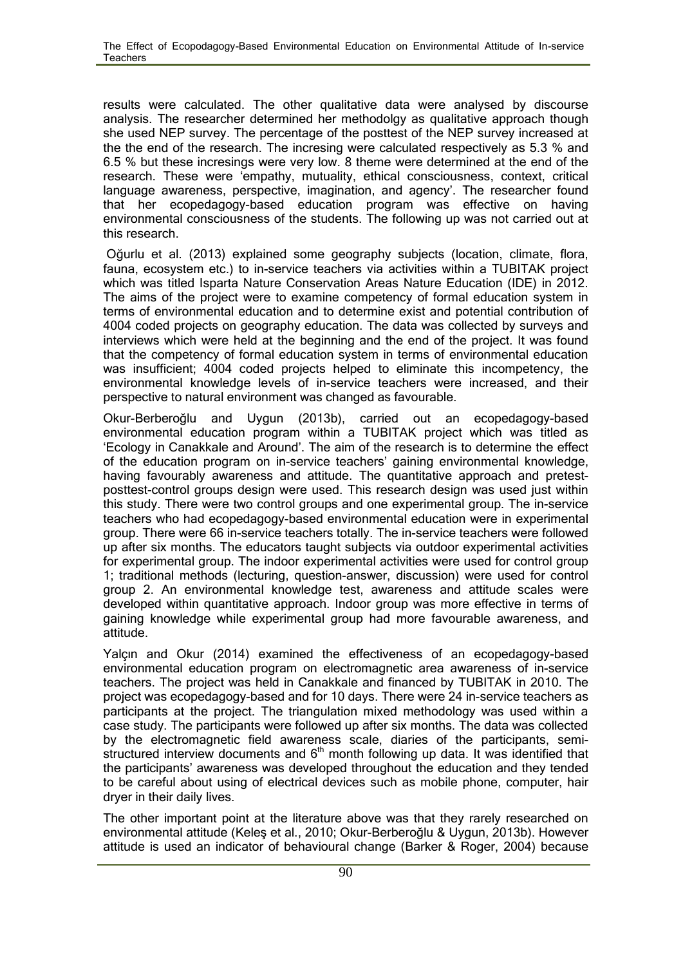results were calculated. The other qualitative data were analysed by discourse analysis. The researcher determined her methodolgy as qualitative approach though she used NEP survey. The percentage of the posttest of the NEP survey increased at the the end of the research. The incresing were calculated respectively as 5.3 % and 6.5 % but these incresings were very low. 8 theme were determined at the end of the research. These were 'empathy, mutuality, ethical consciousness, context, critical language awareness, perspective, imagination, and agency'. The researcher found that her ecopedagogy-based education program was effective on having environmental consciousness of the students. The following up was not carried out at this research.

Oğurlu et al. (2013) explained some geography subjects (location, climate, flora, fauna, ecosystem etc.) to in-service teachers via activities within a TUBITAK project which was titled Isparta Nature Conservation Areas Nature Education (IDE) in 2012. The aims of the project were to examine competency of formal education system in terms of environmental education and to determine exist and potential contribution of 4004 coded projects on geography education. The data was collected by surveys and interviews which were held at the beginning and the end of the project. It was found that the competency of formal education system in terms of environmental education was insufficient; 4004 coded projects helped to eliminate this incompetency, the environmental knowledge levels of in-service teachers were increased, and their perspective to natural environment was changed as favourable.

Okur-Berberoğlu and Uygun (2013b), carried out an ecopedagogy-based environmental education program within a TUBITAK project which was titled as 'Ecology in Canakkale and Around'. The aim of the research is to determine the effect of the education program on in-service teachers' gaining environmental knowledge, having favourably awareness and attitude. The quantitative approach and pretest posttest-control groups design were used. This research design was used just within this study. There were two control groups and one experimental group. The in-service teachers who had ecopedagogy-based environmental education were in experimental group. There were 66 in-service teachers totally. The in-service teachers were followed up after six months. The educators taught subjects via outdoor experimental activities for experimental group. The indoor experimental activities were used for control group 1; traditional methods (lecturing, question-answer, discussion) were used for control group 2. An environmental knowledge test, awareness and attitude scales were developed within quantitative approach. Indoor group was more effective in terms of gaining knowledge while experimental group had more favourable awareness, and attitude.

Yalçın and Okur (2014) examined the effectiveness of an ecopedagogy-based environmental education program on electromagnetic area awareness of in-service teachers. The project was held in Canakkale and financed by TUBITAK in 2010. The project was ecopedagogy-based and for 10 days. There were 24 in-service teachers as participants at the project. The triangulation mixed methodology was used within a case study. The participants were followed up after six months. The data was collected by the electromagnetic field awareness scale, diaries of the participants, semi structured interview documents and  $6<sup>th</sup>$  month following up data. It was identified that the participants' awareness was developed throughout the education and they tended to be careful about using of electrical devices such as mobile phone, computer, hair dryer in their daily lives.

The other important point at the literature above was that they rarely researched on environmental attitude (Keleş et al., 2010; Okur-Berberoğlu & Uygun, 2013b). However attitude is used an indicator of behavioural change (Barker & Roger, 2004) because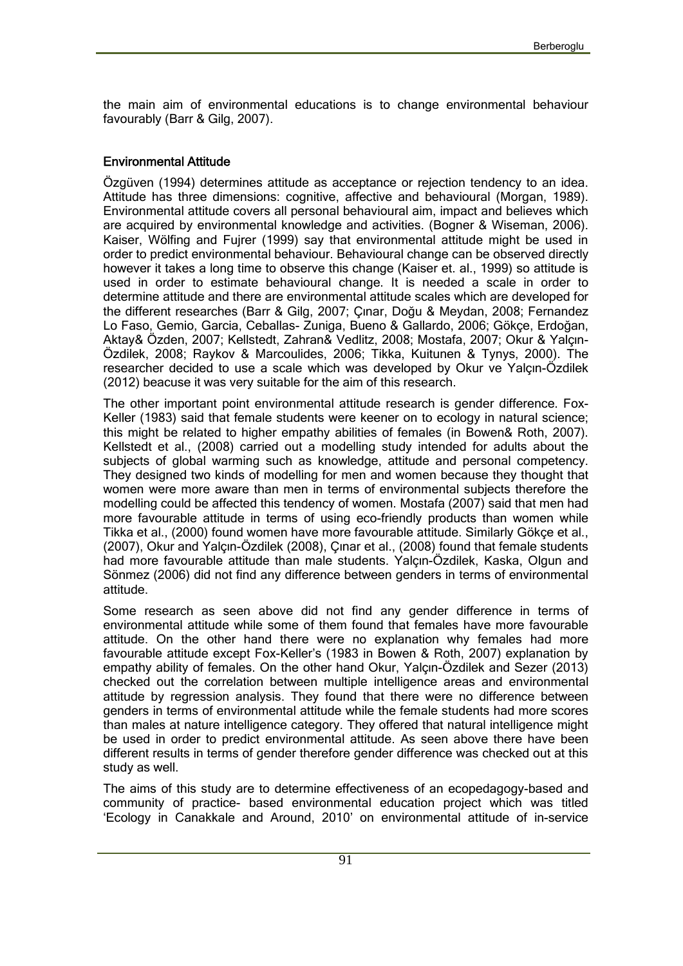the main aim of environmental educations is to change environmental behaviour favourably (Barr & Gilg, 2007).

#### **Environmental Attitude**

Özgüven (1994) determines attitude as acceptance or rejection tendency to an idea. Attitude has three dimensions: cognitive, affective and behavioural (Morgan, 1989). Environmental attitude covers all personal behavioural aim, impact and believes which are acquired by environmental knowledge and activities. (Bogner & Wiseman, 2006). Kaiser, Wölfing and Fujrer (1999) say that environmental attitude might be used in order to predict environmental behaviour. Behavioural change can be observed directly however it takes a long time to observe this change (Kaiser et. al., 1999) so attitude is used in order to estimate behavioural change. It is needed a scale in order to determine attitude and there are environmental attitude scales which are developed for the different researches (Barr & Gilg, 2007; Çınar, Doğu & Meydan, 2008; Fernandez Lo Faso, Gemio, Garcia, Ceballas- Zuniga, Bueno & Gallardo, 2006; Gökçe, Erdoğan, Aktay& Özden, 2007; Kellstedt, Zahran& Vedlitz, 2008; Mostafa, 2007; Okur & Yalçın- Özdilek, 2008; Raykov & Marcoulides, 2006; Tikka, Kuitunen & Tynys, 2000). The researcher decided to use a scale which was developed by Okur ve Yalçın-Özdilek (2012) beacuse it was very suitable for the aim of this research.

The other important point environmental attitude research is gender difference. Fox- Keller (1983) said that female students were keener on to ecology in natural science; this might be related to higher empathy abilities of females (in Bowen& Roth, 2007). Kellstedt et al., (2008) carried out a modelling study intended for adults about the subjects of global warming such as knowledge, attitude and personal competency. They designed two kinds of modelling for men and women because they thought that women were more aware than men in terms of environmental subjects therefore the modelling could be affected this tendency of women. Mostafa (2007) said that men had more favourable attitude in terms of using eco-friendly products than women while Tikka et al., (2000) found women have more favourable attitude. Similarly Gökçe et al., (2007), Okur and Yalçın-Özdilek (2008), Çınar et al., (2008) found that female students had more favourable attitude than male students. Yalçın-Özdilek, Kaska, Olgun and Sönmez (2006) did not find any difference between genders in terms of environmental attitude.

Some research as seen above did not find any gender difference in terms of environmental attitude while some of them found that females have more favourable attitude. On the other hand there were no explanation why females had more favourable attitude except Fox-Keller's (1983 in Bowen & Roth, 2007) explanation by empathy ability of females. On the other hand Okur, Yalçın-Özdilek and Sezer (2013) checked out the correlation between multiple intelligence areas and environmental attitude by regression analysis. They found that there were no difference between genders in terms of environmental attitude while the female students had more scores than males at nature intelligence category. They offered that natural intelligence might be used in order to predict environmental attitude. As seen above there have been different results in terms of gender therefore gender difference was checked out at this study as well.

The aims of this study are to determine effectiveness of an ecopedagogy-based and community of practice- based environmental education project which was titled 'Ecology in Canakkale and Around, 2010' on environmental attitude of in-service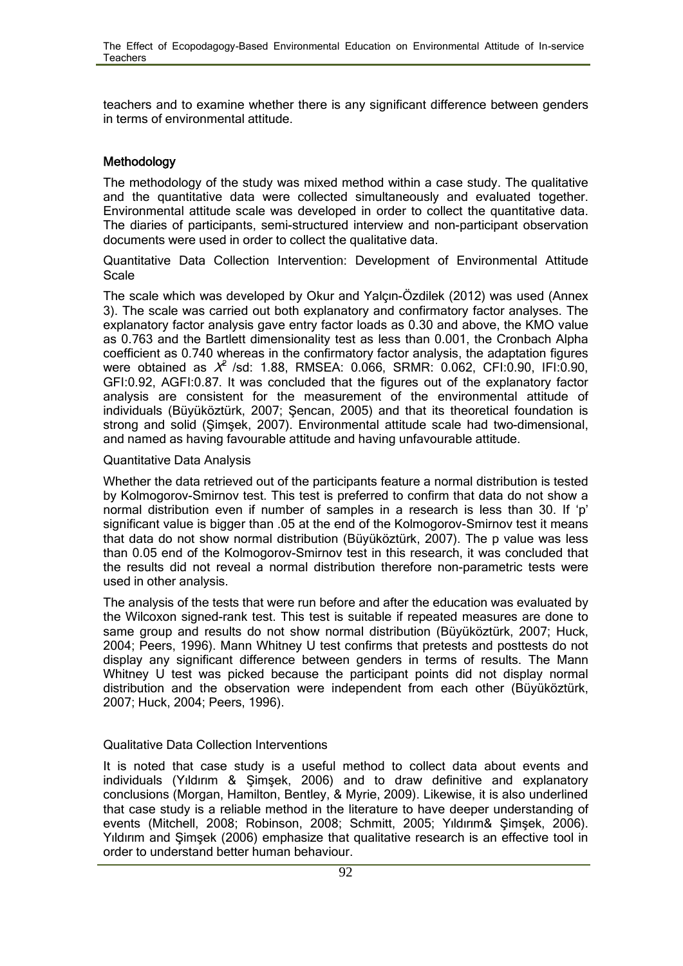teachers and to examine whether there is any significant difference between genders in terms of environmental attitude.

### **Methodology**

The methodology of the study was mixed method within a case study. The qualitative and the quantitative data were collected simultaneously and evaluated together. Environmental attitude scale was developed in order to collect the quantitative data. The diaries of participants, semi-structured interview and non-participant observation documents were used in order to collect the qualitative data.

Quantitative Data Collection Intervention: Development of Environmental Attitude Scale

The scale which was developed by Okur and Yalçın-Özdilek (2012) was used (Annex 3). The scale was carried out both explanatory and confirmatory factor analyses. The explanatory factor analysis gave entry factor loads as 0.30 and above, the KMO value as 0.763 and the Bartlett dimensionality test as less than 0.001, the Cronbach Alpha coefficient as 0.740 whereas in the confirmatory factor analysis, the adaptation figures were obtained as *<sup>X</sup>*<sup>2</sup> /sd: 1.88, RMSEA: 0.066, SRMR: 0.062, CFI:0.90, IFI:0.90, GFI:0.92, AGFI:0.87. It was concluded that the figures out of the explanatory factor analysis are consistent for the measurement of the environmental attitude of individuals (Büyüköztürk, 2007; Şencan, 2005) and that its theoretical foundation is strong and solid (Şimşek, 2007). Environmental attitude scale had two-dimensional, and named as having favourable attitude and having unfavourable attitude.

#### Quantitative Data Analysis

Whether the data retrieved out of the participants feature a normal distribution is tested by Kolmogorov-Smirnov test. This test is preferred to confirm that data do not show a normal distribution even if number of samples in a research is less than 30. If 'p' significant value is bigger than .05 at the end of the Kolmogorov-Smirnov test it means that data do not show normal distribution (Büyüköztürk, 2007). The p value was less than 0.05 end of the Kolmogorov-Smirnov test in this research, it was concluded that the results did not reveal a normal distribution therefore non-parametric tests were used in other analysis.

The analysis of the tests that were run before and after the education was evaluated by the Wilcoxon signed-rank test. This test is suitable if repeated measures are done to same group and results do not show normal distribution (Büyüköztürk, 2007; Huck, 2004; Peers, 1996). Mann Whitney U test confirms that pretests and posttests do not display any significant difference between genders in terms of results. The Mann Whitney U test was picked because the participant points did not display normal distribution and the observation were independent from each other (Büyüköztürk, 2007; Huck, 2004; Peers, 1996).

#### Qualitative Data Collection Interventions

It is noted that case study is a useful method to collect data about events and individuals (Yıldırım & Şimşek, 2006) and to draw definitive and explanatory conclusions (Morgan, Hamilton, Bentley, & Myrie, 2009). Likewise, it is also underlined that case study is a reliable method in the literature to have deeper understanding of events (Mitchell, 2008; Robinson, 2008; Schmitt, 2005; Yıldırım& Şimşek, 2006). Yıldırım and Şimşek (2006) emphasize that qualitative research is an effective tool in order to understand better human behaviour.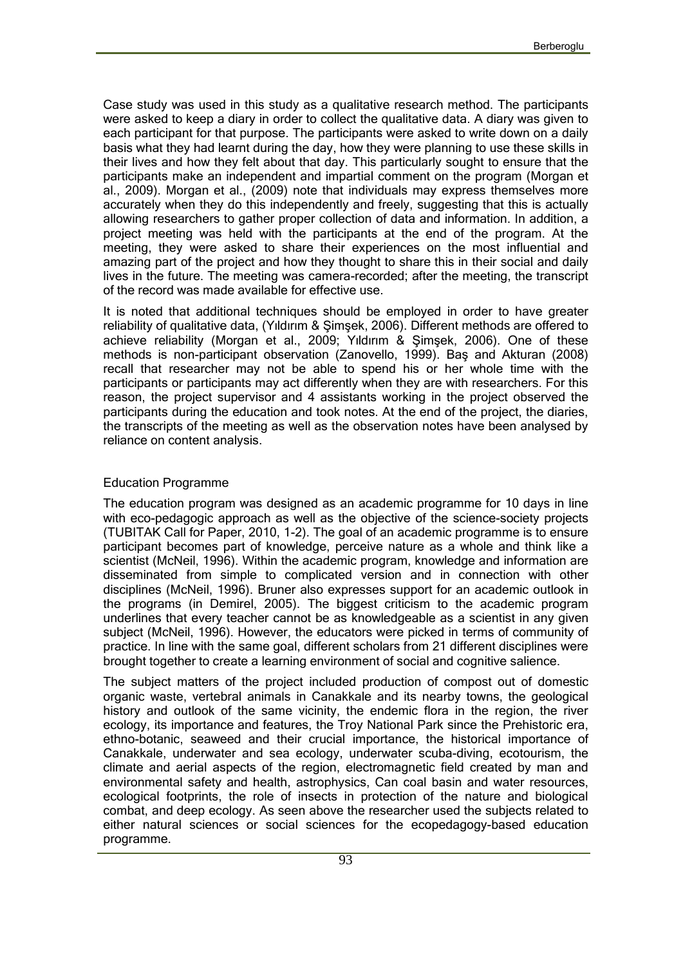Case study was used in this study as a qualitative research method. The participants were asked to keep a diary in order to collect the qualitative data. A diary was given to each participant for that purpose. The participants were asked to write down on a daily basis what they had learnt during the day, how they were planning to use these skills in their lives and how they felt about that day. This particularly sought to ensure that the participants make an independent and impartial comment on the program (Morgan et al., 2009). Morgan et al., (2009) note that individuals may express themselves more accurately when they do this independently and freely, suggesting that this is actually allowing researchers to gather proper collection of data and information. In addition, a project meeting was held with the participants at the end of the program. At the meeting, they were asked to share their experiences on the most influential and amazing part of the project and how they thought to share this in their social and daily lives in the future. The meeting was camera-recorded; after the meeting, the transcript of the record was made available for effective use.

It is noted that additional techniques should be employed in order to have greater reliability of qualitative data, (Yıldırım & Şimşek, 2006). Different methods are offered to achieve reliability (Morgan et al., 2009; Yıldırım & Şimşek, 2006). One of these methods is non-participant observation (Zanovello, 1999). Baş and Akturan (2008) recall that researcher may not be able to spend his or her whole time with the participants or participants may act differently when they are with researchers. For this reason, the project supervisor and 4 assistants working in the project observed the participants during the education and took notes. At the end of the project, the diaries, the transcripts of the meeting as well as the observation notes have been analysed by reliance on content analysis.

#### Education Programme

The education program was designed as an academic programme for 10 days in line with eco-pedagogic approach as well as the objective of the science-society projects (TUBITAK Call for Paper, 2010, 1-2). The goal of an academic programme is to ensure participant becomes part of knowledge, perceive nature as a whole and think like a scientist (McNeil, 1996). Within the academic program, knowledge and information are disseminated from simple to complicated version and in connection with other disciplines (McNeil, 1996). Bruner also expresses support for an academic outlook in the programs (in Demirel, 2005). The biggest criticism to the academic program underlines that every teacher cannot be as knowledgeable as a scientist in any given subject (McNeil, 1996). However, the educators were picked in terms of community of practice. In line with the same goal, different scholars from 21 different disciplines were brought together to create a learning environment of social and cognitive salience.

The subject matters of the project included production of compost out of domestic organic waste, vertebral animals in Canakkale and its nearby towns, the geological history and outlook of the same vicinity, the endemic flora in the region, the river ecology, its importance and features, the Troy National Park since the Prehistoric era, ethno-botanic, seaweed and their crucial importance, the historical importance of Canakkale, underwater and sea ecology, underwater scuba-diving, ecotourism, the climate and aerial aspects of the region, electromagnetic field created by man and environmental safety and health, astrophysics, Can coal basin and water resources, ecological footprints, the role of insects in protection of the nature and biological combat, and deep ecology. As seen above the researcher used the subjects related to either natural sciences or social sciences for the ecopedagogy-based education programme.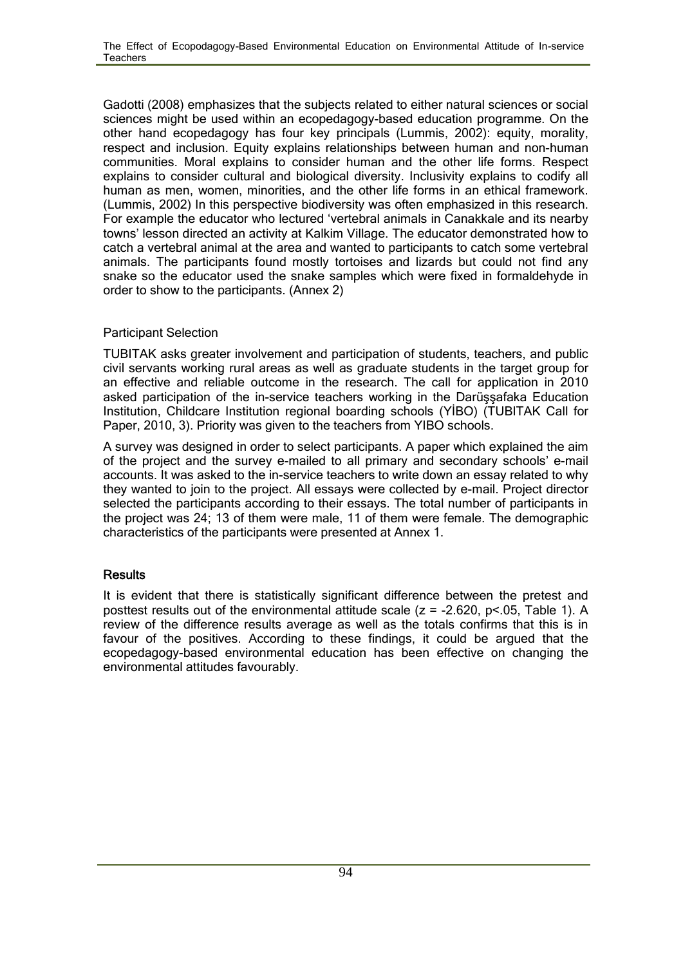Gadotti (2008) emphasizes that the subjects related to either natural sciences or social sciences might be used within an ecopedagogy-based education programme. On the other hand ecopedagogy has four key principals (Lummis, 2002): equity, morality, respect and inclusion. Equity explains relationships between human and non-human communities. Moral explains to consider human and the other life forms. Respect explains to consider cultural and biological diversity. Inclusivity explains to codify all human as men, women, minorities, and the other life forms in an ethical framework. (Lummis, 2002) In this perspective biodiversity was often emphasized in this research. For example the educator who lectured 'vertebral animals in Canakkale and its nearby towns' lesson directed an activity at Kalkim Village. The educator demonstrated how to catch a vertebral animal at the area and wanted to participants to catch some vertebral animals. The participants found mostly tortoises and lizards but could not find any snake so the educator used the snake samples which were fixed in formaldehyde in order to show to the participants. (Annex 2)

#### Participant Selection

TUBITAK asks greater involvement and participation of students, teachers, and public civil servants working rural areas as well as graduate students in the target group for an effective and reliable outcome in the research. The call for application in 2010 asked participation of the in-service teachers working in the Darüşşafaka Education Institution, Childcare Institution regional boarding schools (YİBO) (TUBITAK Call for Paper, 2010, 3). Priority was given to the teachers from YIBO schools.

A survey was designed in order to select participants. A paper which explained the aim of the project and the survey e-mailed to all primary and secondary schools' e-mail accounts. It was asked to the in-service teachers to write down an essay related to why they wanted to join to the project. All essays were collected by e-mail. Project director selected the participants according to their essays. The total number of participants in the project was 24; 13 of them were male, 11 of them were female. The demographic characteristics of the participants were presented at Annex 1.

## **Results**

It is evident that there is statistically significant difference between the pretest and posttest results out of the environmental attitude scale ( $z = -2.620$ ,  $p < 05$ , Table 1). A review of the difference results average as well as the totals confirms that this is in favour of the positives. According to these findings, it could be argued that the ecopedagogy-based environmental education has been effective on changing the environmental attitudes favourably.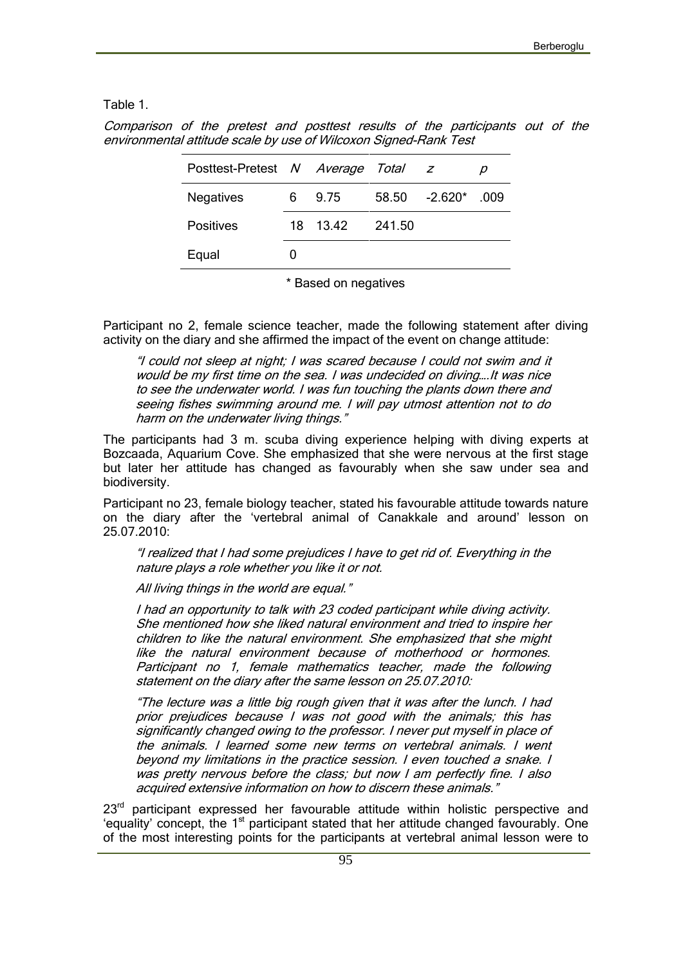Table 1.

| Posttest-Pretest N Average Total z |          |        |                       |  |
|------------------------------------|----------|--------|-----------------------|--|
| <b>Negatives</b>                   | 6 9.75   |        | $58.50 -2.620^*$ .009 |  |
| <b>Positives</b>                   | 18 13.42 | 241.50 |                       |  |

*Comparison of the pretest and posttest results of the participants out of the environmental attitude scale by use of Wilcoxon Signed-Rank Test*

\* Based on negatives

Participant no 2, female science teacher, made the following statement after diving activity on the diary and she affirmed the impact of the event on change attitude:

*"I could not sleep at night; I was scared because I could not swim and it would be my first time on the sea. I was undecided on diving….It was nice to see the underwater world. I was fun touching the plants down there and seeing fishes swimming around me. I will pay utmost attention not to do harm on the underwater living things."*

The participants had 3 m. scuba diving experience helping with diving experts at Bozcaada, Aquarium Cove. She emphasized that she were nervous at the first stage but later her attitude has changed as favourably when she saw under sea and biodiversity.

Participant no 23, female biology teacher, stated his favourable attitude towards nature on the diary after the 'vertebral animal of Canakkale and around' lesson on 25.07.2010:

*"I realized that I had some prejudices I have to get rid of. Everything in the nature plays a role whether you like it or not.*

*All living things in the world are equal."*

Equal 0

*I had an opportunity to talk with 23 coded participant while diving activity. She mentioned how she liked natural environment and tried to inspire her children to like the natural environment. She emphasized that she might like the natural environment because of motherhood or hormones. Participant no 1, female mathematics teacher, made the following statement on the diary after the same lesson on 25.07.2010:*

*"The lecture was a little big rough given that it was after the lunch. I had prior prejudices because I was not good with the animals; this has significantly changed owing to the professor. I never put myself in place of the animals. I learned some new terms on vertebral animals. I went beyond my limitations in the practice session. I even touched a snake. I was pretty nervous before the class; but now I am perfectly fine. I also acquired extensive information on how to discern these animals."*

 $23<sup>rd</sup>$  participant expressed her favourable attitude within holistic perspective and 'equality' concept, the  $1<sup>st</sup>$  participant stated that her attitude changed favourably. One of the most interesting points for the participants at vertebral animal lesson were to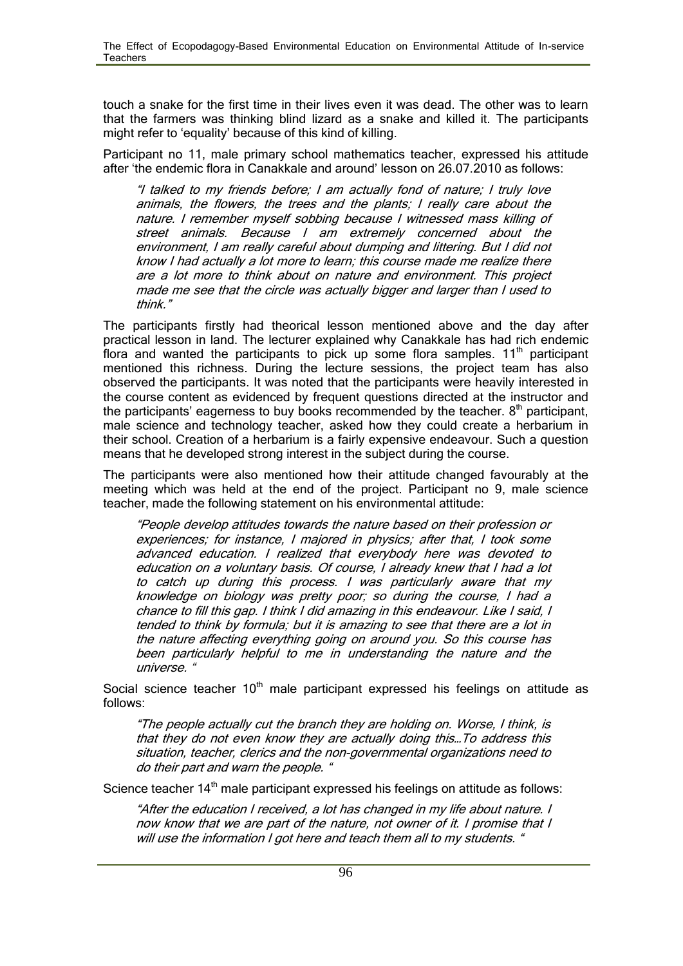touch a snake for the first time in their lives even it was dead. The other was to learn that the farmers was thinking blind lizard as a snake and killed it. The participants might refer to 'equality' because of this kind of killing.

Participant no 11, male primary school mathematics teacher, expressed his attitude after 'the endemic flora in Canakkale and around' lesson on 26.07.2010 as follows:

*"I talked to my friends before; I am actually fond of nature; I truly love animals, the flowers, the trees and the plants; I really care about the nature. I remember myself sobbing because I witnessed mass killing of street animals. Because I am extremely concerned about the environment, I am really careful about dumping and littering. But I did not know I had actually a lot more to learn; this course made me realize there are a lot more to think about on nature and environment. This project made me see that the circle was actually bigger and larger than I used to think."*

The participants firstly had theorical lesson mentioned above and the day after practical lesson in land. The lecturer explained why Canakkale has had rich endemic flora and wanted the participants to pick up some flora samples.  $11<sup>th</sup>$  participant mentioned this richness. During the lecture sessions, the project team has also observed the participants. It was noted that the participants were heavily interested in the course content as evidenced by frequent questions directed at the instructor and the participants' eagerness to buy books recommended by the teacher.  $8<sup>th</sup>$  participant, male science and technology teacher, asked how they could create a herbarium in their school. Creation of a herbarium is a fairly expensive endeavour. Such a question means that he developed strong interest in the subject during the course.

The participants were also mentioned how their attitude changed favourably at the meeting which was held at the end of the project. Participant no 9, male science teacher, made the following statement on his environmental attitude:

*"People develop attitudes towards the nature based on their profession or experiences; for instance, I majored in physics; after that, I took some advanced education. I realized that everybody here was devoted to education on a voluntary basis. Of course, I already knew that I had a lot to catch up during this process. I was particularly aware that my knowledge on biology was pretty poor; so during the course, I had a chance to fill this gap. I think I did amazing in this endeavour. Like I said, I tended to think by formula; but it is amazing to see that there are a lot in the nature affecting everything going on around you. So this course has been particularly helpful to me in understanding the nature and the universe. "*

Social science teacher  $10<sup>th</sup>$  male participant expressed his feelings on attitude as follows:

*"The people actually cut the branch they are holding on. Worse, I think, is that they do not even know they are actually doing this…To address this situation, teacher, clerics and the non-governmental organizations need to do their part and warn the people. "*

Science teacher  $14<sup>th</sup>$  male participant expressed his feelings on attitude as follows:

*"After the education I received, a lot has changed in my life about nature. I now know that we are part of the nature, not owner of it. I promise that I will use the information I got here and teach them all to my students. "*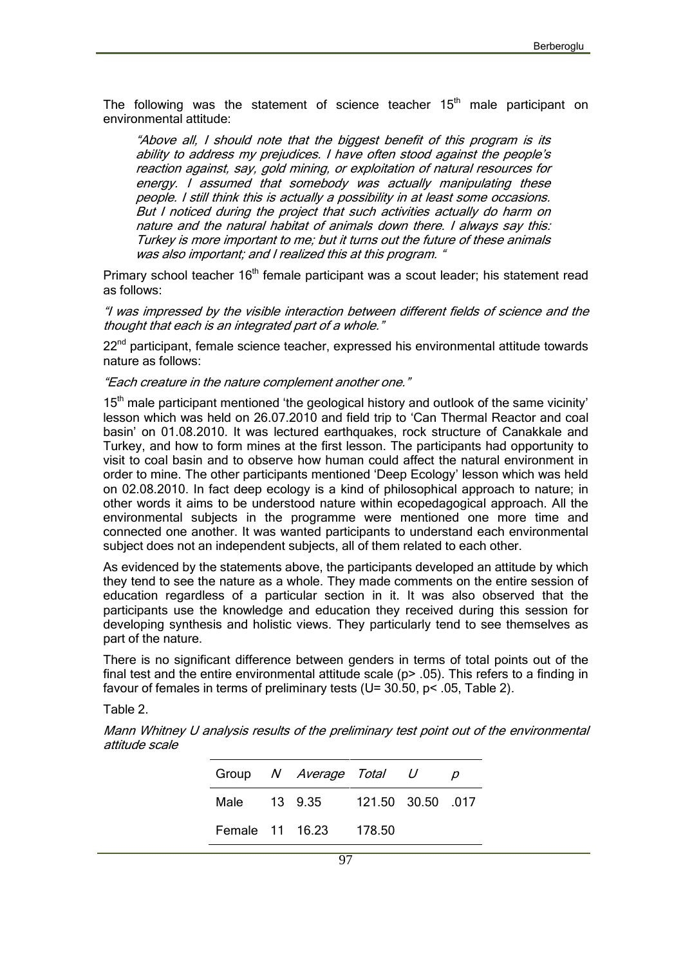The following was the statement of science teacher  $15<sup>th</sup>$  male participant on environmental attitude:

*"Above all, I should note that the biggest benefit of this program is its ability to address my prejudices. I have often stood against the people's reaction against, say, gold mining, or exploitation of natural resources for energy. I assumed that somebody was actually manipulating these people. I still think this is actually a possibility in at least some occasions. But I noticed during the project that such activities actually do harm on nature and the natural habitat of animals down there. I always say this: Turkey is more important to me; but it turns out the future of these animals was also important; and I realized this at this program. "*

Primary school teacher  $16<sup>th</sup>$  female participant was a scout leader; his statement read as follows:

*"I was impressed by the visible interaction between different fields of science and the thought that each is an integrated part of a whole."*

 $22<sup>nd</sup>$  participant, female science teacher, expressed his environmental attitude towards nature as follows:

*"Each creature in the nature complement another one."*

 $15<sup>th</sup>$  male participant mentioned 'the geological history and outlook of the same vicinity' lesson which was held on 26.07.2010 and field trip to 'Can Thermal Reactor and coal basin' on 01.08.2010. It was lectured earthquakes, rock structure of Canakkale and Turkey, and how to form mines at the first lesson. The participants had opportunity to visit to coal basin and to observe how human could affect the natural environment in order to mine. The other participants mentioned 'Deep Ecology' lesson which was held on 02.08.2010. In fact deep ecology is a kind of philosophical approach to nature; in other words it aims to be understood nature within ecopedagogical approach. All the environmental subjects in the programme were mentioned one more time and connected one another. It was wanted participants to understand each environmental subject does not an independent subjects, all of them related to each other.

As evidenced by the statements above, the participants developed an attitude by which they tend to see the nature as a whole. They made comments on the entire session of education regardless of a particular section in it. It was also observed that the participants use the knowledge and education they received during this session for developing synthesis and holistic views. They particularly tend to see themselves as part of the nature.

There is no significant difference between genders in terms of total points out of the final test and the entire environmental attitude scale (p> .05). This refers to a finding in favour of females in terms of preliminary tests (U=  $30.50$ , p $\leq 0.05$ , Table 2).

Table 2.

*Mann Whitney U analysis results of the preliminary test point out of the environmental attitude scale*

|  | Group N Average Total U       |  |  |
|--|-------------------------------|--|--|
|  | Male 13 9.35 121.50 30.50 017 |  |  |
|  | Female 11 16.23 178.50        |  |  |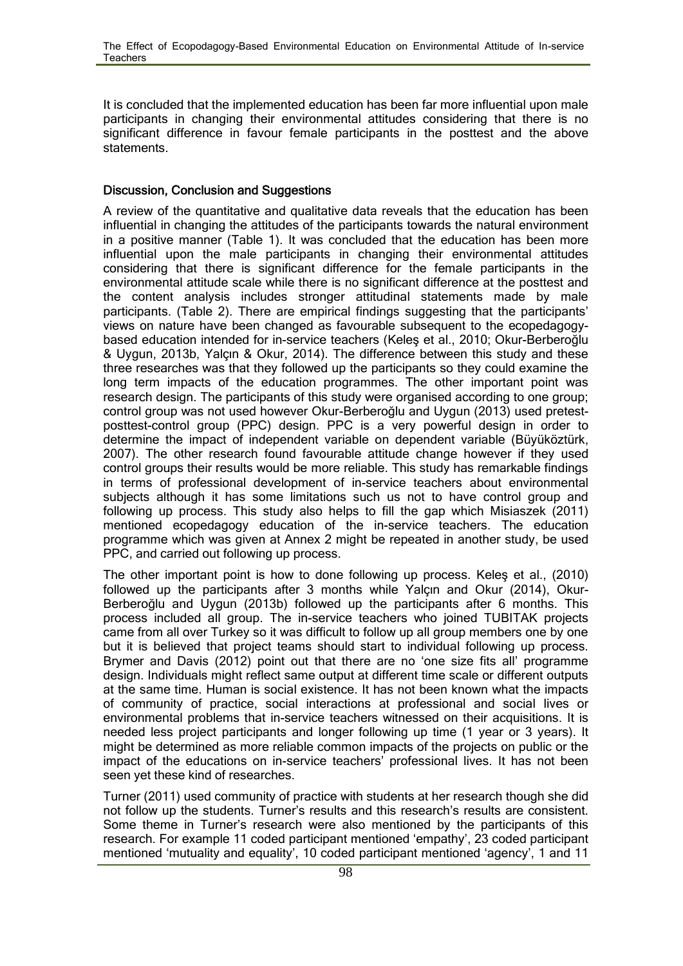It is concluded that the implemented education has been far more influential upon male participants in changing their environmental attitudes considering that there is no significant difference in favour female participants in the posttest and the above statements.

#### **Discussion, Conclusion and Suggestions**

A review of the quantitative and qualitative data reveals that the education has been influential in changing the attitudes of the participants towards the natural environment in a positive manner (Table 1). It was concluded that the education has been more influential upon the male participants in changing their environmental attitudes considering that there is significant difference for the female participants in the environmental attitude scale while there is no significant difference at the posttest and the content analysis includes stronger attitudinal statements made by male participants. (Table 2). There are empirical findings suggesting that the participants' views on nature have been changed as favourable subsequent to the ecopedagogy based education intended for in-service teachers (Keleş et al., 2010; Okur-Berberoğlu & Uygun, 2013b, Yalçın & Okur, 2014). The difference between this study and these three researches was that they followed up the participants so they could examine the long term impacts of the education programmes. The other important point was research design. The participants of this study were organised according to one group; control group was not used however Okur-Berberoğlu and Uygun (2013) used pretest posttest-control group (PPC) design. PPC is a very powerful design in order to determine the impact of independent variable on dependent variable (Büyüköztürk, 2007). The other research found favourable attitude change however if they used control groups their results would be more reliable. This study has remarkable findings in terms of professional development of in-service teachers about environmental subjects although it has some limitations such us not to have control group and following up process. This study also helps to fill the gap which Misiaszek (2011) mentioned ecopedagogy education of the in-service teachers. The education programme which was given at Annex 2 might be repeated in another study, be used PPC, and carried out following up process.

The other important point is how to done following up process. Keleş et al., (2010) followed up the participants after 3 months while Yalçın and Okur (2014), Okur- Berberoğlu and Uygun (2013b) followed up the participants after 6 months. This process included all group. The in-service teachers who joined TUBITAK projects came from all over Turkey so it was difficult to follow up all group members one by one but it is believed that project teams should start to individual following up process. Brymer and Davis (2012) point out that there are no 'one size fits all' programme design. Individuals might reflect same output at different time scale or different outputs at the same time. Human is social existence. It has not been known what the impacts of community of practice, social interactions at professional and social lives or environmental problems that in-service teachers witnessed on their acquisitions. It is needed less project participants and longer following up time (1 year or 3 years). It might be determined as more reliable common impacts of the projects on public or the impact of the educations on in-service teachers' professional lives. It has not been seen yet these kind of researches.

Turner (2011) used community of practice with students at her research though she did not follow up the students. Turner's results and this research's results are consistent. Some theme in Turner's research were also mentioned by the participants of this research. For example 11 coded participant mentioned 'empathy', 23 coded participant mentioned 'mutuality and equality', 10 coded participant mentioned 'agency', 1 and 11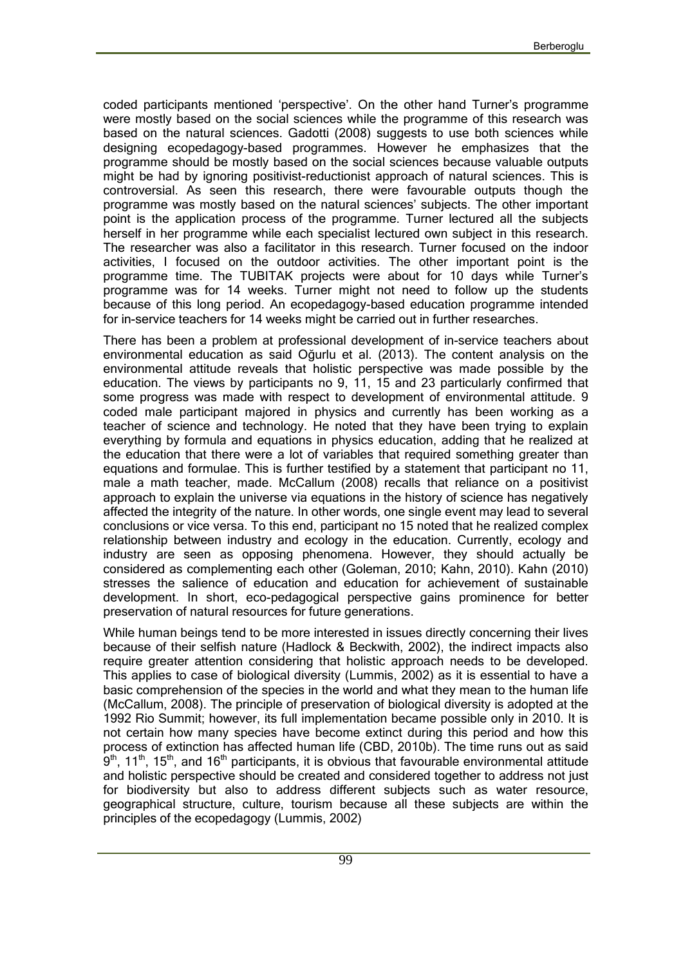coded participants mentioned 'perspective'. On the other hand Turner's programme were mostly based on the social sciences while the programme of this research was based on the natural sciences. Gadotti (2008) suggests to use both sciences while designing ecopedagogy-based programmes. However he emphasizes that the programme should be mostly based on the social sciences because valuable outputs might be had by ignoring positivist-reductionist approach of natural sciences. This is controversial. As seen this research, there were favourable outputs though the programme was mostly based on the natural sciences' subjects. The other important point is the application process of the programme. Turner lectured all the subjects herself in her programme while each specialist lectured own subject in this research. The researcher was also a facilitator in this research. Turner focused on the indoor activities, I focused on the outdoor activities. The other important point is the programme time. The TUBITAK projects were about for 10 days while Turner's programme was for 14 weeks. Turner might not need to follow up the students because of this long period. An ecopedagogy-based education programme intended for in-service teachers for 14 weeks might be carried out in further researches.

There has been a problem at professional development of in-service teachers about environmental education as said Oğurlu et al. (2013). The content analysis on the environmental attitude reveals that holistic perspective was made possible by the education. The views by participants no 9, 11, 15 and 23 particularly confirmed that some progress was made with respect to development of environmental attitude. 9 coded male participant majored in physics and currently has been working as a teacher of science and technology. He noted that they have been trying to explain everything by formula and equations in physics education, adding that he realized at the education that there were a lot of variables that required something greater than equations and formulae. This is further testified by a statement that participant no 11, male a math teacher, made. McCallum (2008) recalls that reliance on a positivist approach to explain the universe via equations in the history of science has negatively affected the integrity of the nature. In other words, one single event may lead to several conclusions or vice versa. To this end, participant no 15 noted that he realized complex relationship between industry and ecology in the education. Currently, ecology and industry are seen as opposing phenomena. However, they should actually be considered as complementing each other (Goleman, 2010; Kahn, 2010). Kahn (2010) stresses the salience of education and education for achievement of sustainable development. In short, eco-pedagogical perspective gains prominence for better preservation of natural resources for future generations.

While human beings tend to be more interested in issues directly concerning their lives because of their selfish nature (Hadlock & Beckwith, 2002), the indirect impacts also require greater attention considering that holistic approach needs to be developed. This applies to case of biological diversity (Lummis, 2002) as it is essential to have a basic comprehension of the species in the world and what they mean to the human life (McCallum, 2008). The principle of preservation of biological diversity is adopted at the 1992 Rio Summit; however, its full implementation became possible only in 2010. It is not certain how many species have become extinct during this period and how this process of extinction has affected human life (CBD, 2010b). The time runs out as said  $9<sup>th</sup>$ , 11<sup>th</sup>, 15<sup>th</sup>, and 16<sup>th</sup> participants, it is obvious that favourable environmental attitude and holistic perspective should be created and considered together to address not just for biodiversity but also to address different subjects such as water resource, geographical structure, culture, tourism because all these subjects are within the principles of the ecopedagogy (Lummis, 2002)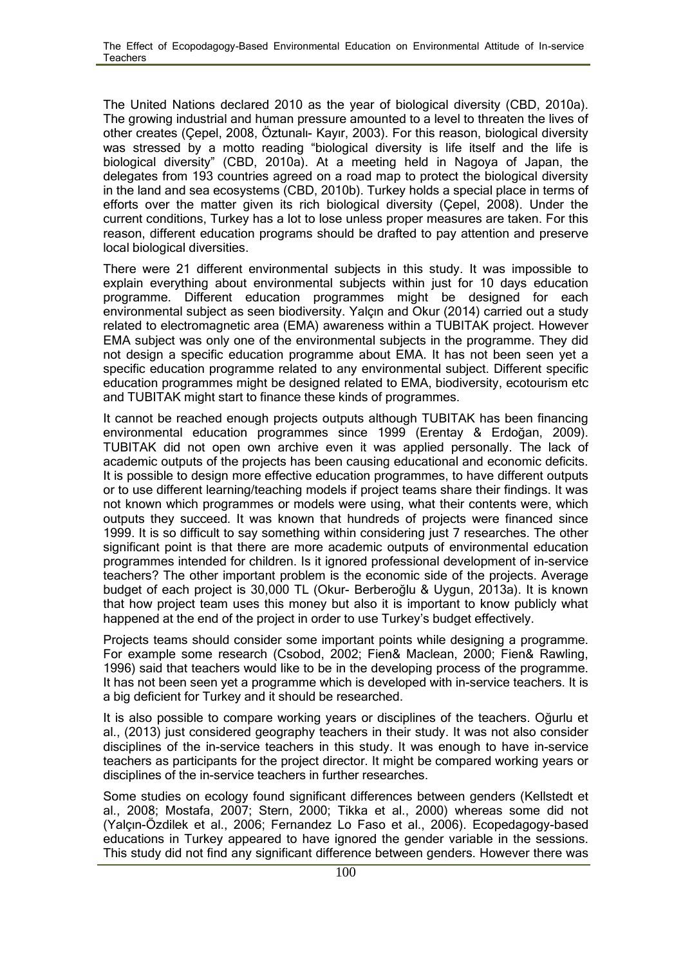The United Nations declared 2010 as the year of biological diversity (CBD, 2010a). The growing industrial and human pressure amounted to a level to threaten the lives of other creates (Çepel, 2008, Öztunalı- Kayır, 2003). For this reason, biological diversity was stressed by a motto reading "biological diversity is life itself and the life is biological diversity" (CBD, 2010a). At a meeting held in Nagoya of Japan, the delegates from 193 countries agreed on a road map to protect the biological diversity in the land and sea ecosystems (CBD, 2010b). Turkey holds a special place in terms of efforts over the matter given its rich biological diversity (Çepel, 2008). Under the current conditions, Turkey has a lot to lose unless proper measures are taken. For this reason, different education programs should be drafted to pay attention and preserve local biological diversities.

There were 21 different environmental subjects in this study. It was impossible to explain everything about environmental subjects within just for 10 days education programme. Different education programmes might be designed for each environmental subject as seen biodiversity. Yalçın and Okur (2014) carried out a study related to electromagnetic area (EMA) awareness within a TUBITAK project. However EMA subject was only one of the environmental subjects in the programme. They did not design a specific education programme about EMA. It has not been seen yet a specific education programme related to any environmental subject. Different specific education programmes might be designed related to EMA, biodiversity, ecotourism etc and TUBITAK might start to finance these kinds of programmes.

It cannot be reached enough projects outputs although TUBITAK has been financing environmental education programmes since 1999 (Erentay & Erdoğan, 2009). TUBITAK did not open own archive even it was applied personally. The lack of academic outputs of the projects has been causing educational and economic deficits. It is possible to design more effective education programmes, to have different outputs or to use different learning/teaching models if project teams share their findings. It was not known which programmes or models were using, what their contents were, which outputs they succeed. It was known that hundreds of projects were financed since 1999. It is so difficult to say something within considering just 7 researches. The other significant point is that there are more academic outputs of environmental education programmes intended for children. Is it ignored professional development of in-service teachers? The other important problem is the economic side of the projects. Average budget of each project is 30,000 TL (Okur- Berberoğlu & Uygun, 2013a). It is known that how project team uses this money but also it is important to know publicly what happened at the end of the project in order to use Turkey's budget effectively.

Projects teams should consider some important points while designing a programme. For example some research (Csobod, 2002; Fien& Maclean, 2000; Fien& Rawling, 1996) said that teachers would like to be in the developing process of the programme. It has not been seen yet a programme which is developed with in-service teachers. It is a big deficient for Turkey and it should be researched.

It is also possible to compare working years or disciplines of the teachers. Oğurlu et al., (2013) just considered geography teachers in their study. It was not also consider disciplines of the in-service teachers in this study. It was enough to have in-service teachers as participants for the project director. It might be compared working years or disciplines of the in-service teachers in further researches.

Some studies on ecology found significant differences between genders (Kellstedt et al., 2008; Mostafa, 2007; Stern, 2000; Tikka et al., 2000) whereas some did not (Yalçın-Özdilek et al., 2006; Fernandez Lo Faso et al., 2006). Ecopedagogy-based educations in Turkey appeared to have ignored the gender variable in the sessions. This study did not find any significant difference between genders. However there was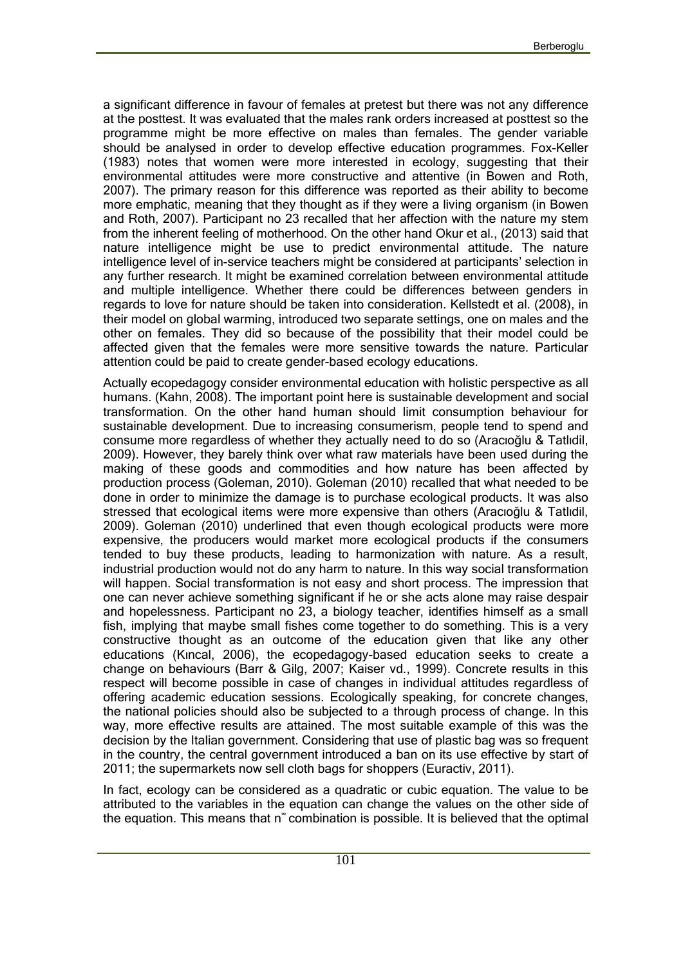a significant difference in favour of females at pretest but there was not any difference at the posttest. It was evaluated that the males rank orders increased at posttest so the programme might be more effective on males than females. The gender variable should be analysed in order to develop effective education programmes. Fox-Keller (1983) notes that women were more interested in ecology, suggesting that their environmental attitudes were more constructive and attentive (in Bowen and Roth, 2007). The primary reason for this difference was reported as their ability to become more emphatic, meaning that they thought as if they were a living organism (in Bowen and Roth, 2007). Participant no 23 recalled that her affection with the nature my stem from the inherent feeling of motherhood. On the other hand Okur et al., (2013) said that nature intelligence might be use to predict environmental attitude. The nature intelligence level of in-service teachers might be considered at participants' selection in any further research. It might be examined correlation between environmental attitude and multiple intelligence. Whether there could be differences between genders in regards to love for nature should be taken into consideration. Kellstedt et al. (2008), in their model on global warming, introduced two separate settings, one on males and the other on females. They did so because of the possibility that their model could be affected given that the females were more sensitive towards the nature. Particular attention could be paid to create gender-based ecology educations.

Actually ecopedagogy consider environmental education with holistic perspective as all humans. (Kahn, 2008). The important point here is sustainable development and social transformation. On the other hand human should limit consumption behaviour for sustainable development. Due to increasing consumerism, people tend to spend and consume more regardless of whether they actually need to do so (Aracıoğlu & Tatlıdil, 2009). However, they barely think over what raw materials have been used during the making of these goods and commodities and how nature has been affected by production process (Goleman, 2010). Goleman (2010) recalled that what needed to be done in order to minimize the damage is to purchase ecological products. It was also stressed that ecological items were more expensive than others (Aracıoğlu & Tatlıdil, 2009). Goleman (2010) underlined that even though ecological products were more expensive, the producers would market more ecological products if the consumers tended to buy these products, leading to harmonization with nature. As a result, industrial production would not do any harm to nature. In this way social transformation will happen. Social transformation is not easy and short process. The impression that one can never achieve something significant if he or she acts alone may raise despair and hopelessness. Participant no 23, a biology teacher, identifies himself as a small fish, implying that maybe small fishes come together to do something. This is a very constructive thought as an outcome of the education given that like any other educations (Kıncal, 2006), the ecopedagogy-based education seeks to create a change on behaviours (Barr & Gilg, 2007; Kaiser vd., 1999). Concrete results in this respect will become possible in case of changes in individual attitudes regardless of offering academic education sessions. Ecologically speaking, for concrete changes, the national policies should also be subjected to a through process of change. In this way, more effective results are attained. The most suitable example of this was the decision by the Italian government. Considering that use of plastic bag was so frequent in the country, the central government introduced a ban on its use effective by start of 2011; the supermarkets now sell cloth bags for shoppers (Euractiv, 2011).

In fact, ecology can be considered as a quadratic or cubic equation. The value to be attributed to the variables in the equation can change the values on the other side of the equation. This means that n<sup>®</sup> combination is possible. It is believed that the optimal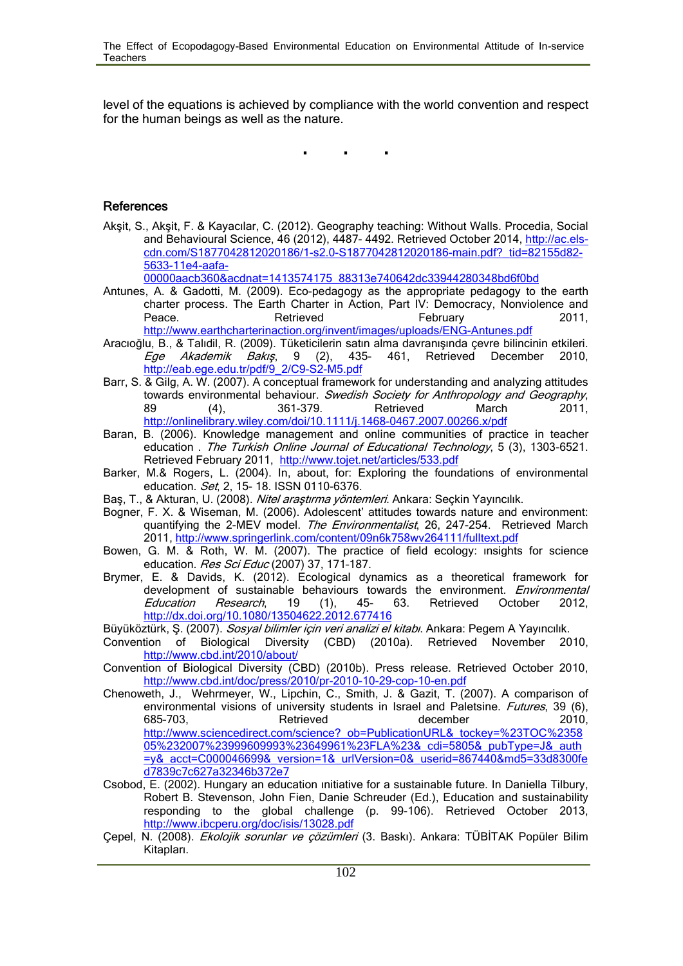level of the equations is achieved by compliance with the world convention and respect for the human beings as well as the nature.

**. . .**

#### **References**

Akşit, S., Akşit, F. & Kayacılar, C. (2012). Geography teaching: Without Walls. Procedia, Social and Behavioural Science, 46 (2012), 4487- 4492. Retrieved October 2014, http://ac.elscdn.com/S1877042812020186/1-s2.0-S1877042812020186-main.pdf?\_tid=82155d82- 5633-11e4-aafa-

00000aacb360&acdnat=1413574175\_88313e740642dc33944280348bd6f0bd

- Antunes, A. & Gadotti, M. (2009). Eco-pedagogy as the appropriate pedagogy to the earth charter process. The Earth Charter in Action, Part IV: Democracy, Nonviolence and Peace. Retrieved February 2011, http://www.earthcharterinaction.org/invent/images/uploads/ENG-Antunes.pdf
- Aracıoğlu, B., & Talıdil, R. (2009). Tüketicilerin satın alma davranışında çevre bilincinin etkileri. *Ege Akademik Bakış*, 9 (2), 435- 461, Retrieved December 2010, http://eab.ege.edu.tr/pdf/9\_2/C9-S2-M5.pdf
- Barr, S. & Gilg, A. W. (2007). A conceptual framework for understanding and analyzing attitudes towards environmental behaviour. *Swedish Society for Anthropology and Geography*, 89 (4), 361-379. Retrieved March 2011, http://onlinelibrary.wiley.com/doi/10.1111/j.1468-0467.2007.00266.x/pdf
- Baran, B. (2006). Knowledge management and online communities of practice in teacher education . *The Turkish Online Journal of Educational Technology*, 5 (3), 1303-6521. Retrieved February 2011, http://www.tojet.net/articles/533.pdf
- Barker, M.& Rogers, L. (2004). In, about, for: Exploring the foundations of environmental education. *Set*, 2, 15- 18. ISSN 0110-6376.
- Baş, T., & Akturan, U. (2008). *Nitel araştırma yöntemleri*. Ankara: Seçkin Yayıncılık.
- Bogner, F. X. & Wiseman, M. (2006). Adolescent' attitudes towards nature and environment: quantifying the 2-MEV model. *The Environmentalist*, 26, 247-254. Retrieved March 2011, http://www.springerlink.com/content/09n6k758wv264111/fulltext.pdf
- Bowen, G. M. & Roth, W. M. (2007). The practice of field ecology: ınsights for science education. *Res Sci Educ* (2007) 37, 171–187.
- Brymer, E. & Davids, K. (2012). Ecological dynamics as a theoretical framework for development of sustainable behaviours towards the environment. *Environmental Education Research*, 19 (1), 45- 63. Retrieved October 2012, http://dx.doi.org/10.1080/13504622.2012.677416
- Büyüköztürk, Ş. (2007). *Sosyal bilimler için veri analizi el kitabı*. Ankara: Pegem A Yayıncılık.
- Convention of Biological Diversity (CBD) (2010a). Retrieved November 2010, http://www.cbd.int/2010/about/
- Convention of Biological Diversity (CBD) (2010b). Press release. Retrieved October 2010, http://www.cbd.int/doc/press/2010/pr-2010-10-29-cop-10-en.pdf
- Chenoweth, J., Wehrmeyer, W., Lipchin, C., Smith, J. & Gazit, T. (2007). A comparison of environmental visions of university students in Israel and Paletsine. *Futures*, 39 (6), 685–703, Retrieved december 2010, http://www.sciencedirect.com/science?\_ob=PublicationURL&\_tockey=%23TOC%2358 05%232007%23999609993%23649961%23FLA%23&\_cdi=5805&\_pubType=J&\_auth =y&\_acct=C000046699&\_version=1&\_urlVersion=0&\_userid=867440&md5=33d8300fe d7839c7c627a32346b372e7
- Csobod, E. (2002). Hungary an education ınitiative for a sustainable future. In Daniella Tilbury, Robert B. Stevenson, John Fien, Danie Schreuder (Ed.), Education and sustainability responding to the global challenge (p. 99-106). Retrieved October 2013, http://www.ibcperu.org/doc/isis/13028.pdf
- Çepel, N. (2008). *Ekolojik sorunlar ve çözümleri* (3. Baskı). Ankara: TÜBİTAK Popüler Bilim Kitapları.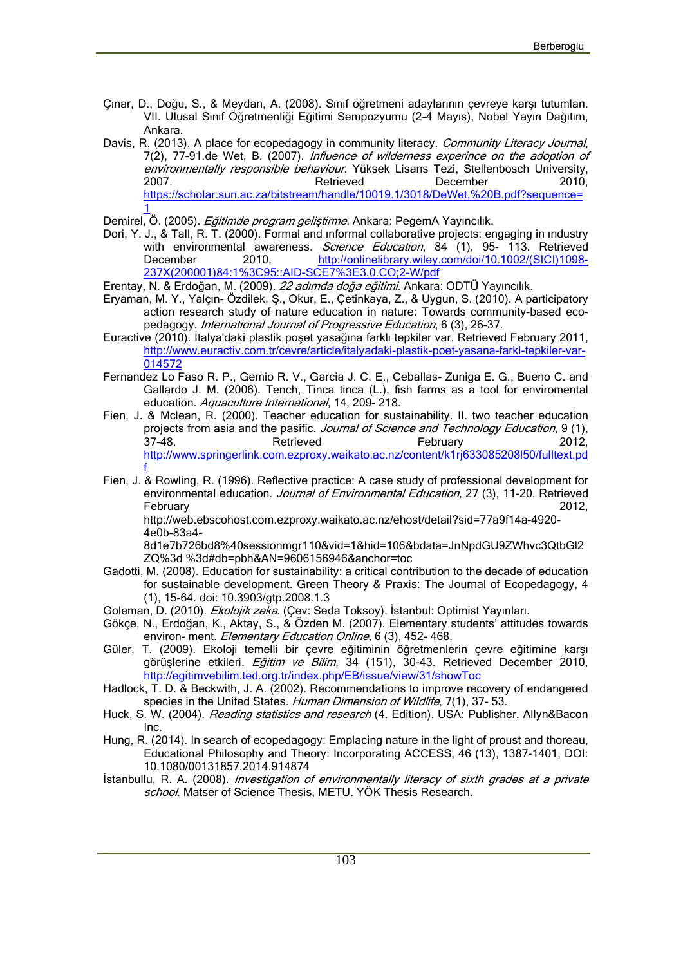- Çınar, D., Doğu, S., & Meydan, A. (2008). Sınıf öğretmeni adaylarının çevreye karşı tutumları. VII. Ulusal Sınıf Öğretmenliği Eğitimi Sempozyumu (2-4 Mayıs), Nobel Yayın Dağıtım, Ankara.
- Davis, R. (2013). A place for ecopedagogy in community literacy. *Community Literacy Journal*, 7(2), 77-91.de Wet, B. (2007). *Influence of wilderness experince on the adoption of environmentally responsible behaviour*. Yüksek Lisans Tezi, Stellenbosch University, 2007. **Retrieved** December 2010, https://scholar.sun.ac.za/bitstream/handle/10019.1/3018/DeWet,%20B.pdf?sequence=  $\frac{1}{2}$  and  $\frac{1}{2}$
- Demirel, Ö. (2005). *Eğitimde program geliştirme*. Ankara: PegemA Yayıncılık.
- Dori, Y. J., & Tall, R. T. (2000). Formal and ınformal collaborative projects: engaging in ındustry with environmental awareness. *Science Education*, 84 (1), 95- 113. Retrieved December 2010, http://onlinelibrary.wiley.com/doi/10.1002/(SICI)1098-237X(200001)84:1%3C95::AID-SCE7%3E3.0.CO;2-W/pdf
- Erentay, N. & Erdoğan, M. (2009). *22 adımda doğa eğitimi*. Ankara: ODTÜ Yayıncılık.
- Eryaman, M. Y., Yalçın- Özdilek, Ş., Okur, E., Çetinkaya, Z., & Uygun, S. (2010). A participatory action research study of nature education in nature: Towards community-based eco pedagogy. *International Journal of Progressive Education*, 6 (3), 26-37.
- Euractive (2010). İtalya'daki plastik poşet yasağına farklı tepkiler var. Retrieved February 2011, http://www.euractiv.com.tr/cevre/article/italyadaki-plastik-poet-yasana-farkl-tepkiler-var- 014572
- Fernandez Lo Faso R. P., Gemio R. V., Garcia J. C. E., Ceballas- Zuniga E. G., Bueno C. and Gallardo J. M. (2006). Tench, Tinca tinca (L.), fish farms as a tool for enviromental education. *Aquaculture International*, 14, 209- 218.
- Fien, J. & Mclean, R. (2000). Teacher education for sustainability. II. two teacher education projects from asia and the pasific. *Journal of Science and Technology Education*, 9 (1), 37-48. Retrieved February 2012, http://www.springerlink.com.ezproxy.waikato.ac.nz/content/k1rj633085208l50/fulltext.pd f i
- Fien, J. & Rowling, R. (1996). Reflective practice: A case study of professional development for environmental education. *Journal of Environmental Education*, 27 (3), 11-20. Retrieved February 2012,

http://web.ebscohost.com.ezproxy.waikato.ac.nz/ehost/detail?sid=77a9f14a-4920- 4e0b-83a4-

8d1e7b726bd8%40sessionmgr110&vid=1&hid=106&bdata=JnNpdGU9ZWhvc3QtbGl2 ZQ%3d %3d#db=pbh&AN=9606156946&anchor=toc

- Gadotti, M. (2008). Education for sustainability: a critical contribution to the decade of education for sustainable development. Green Theory & Praxis: The Journal of Ecopedagogy, 4 (1), 15-64. doi: 10.3903/gtp.2008.1.3
- Goleman, D. (2010). *Ekolojik zeka*. (Çev: Seda Toksoy). İstanbul: Optimist Yayınları.
- Gökçe, N., Erdoğan, K., Aktay, S., & Özden M. (2007). Elementary students' attitudes towards environ- ment. *Elementary Education Online*, 6 (3), 452- 468.
- Güler, T. (2009). Ekoloji temelli bir çevre eğitiminin öğretmenlerin çevre eğitimine karşı görüşlerine etkileri. *Eğitim ve Bilim*, 34 (151), 30-43. Retrieved December 2010, http://egitimvebilim.ted.org.tr/index.php/EB/issue/view/31/showToc
- Hadlock, T. D. & Beckwith, J. A. (2002). Recommendations to improve recovery of endangered species in the United States. *Human Dimension of Wildlife*, 7(1), 37- 53.
- Huck, S. W. (2004). *Reading statistics and research* (4. Edition). USA: Publisher, Allyn&Bacon Inc.
- Hung, R. (2014). In search of ecopedagogy: Emplacing nature in the light of proust and thoreau, Educational Philosophy and Theory: Incorporating ACCESS, 46 (13), 1387-1401, DOI: 10.1080/00131857.2014.914874
- İstanbullu, R. A. (2008). *Investigation of environmentally literacy of sixth grades at a private school*. Matser of Science Thesis, METU. YÖK Thesis Research.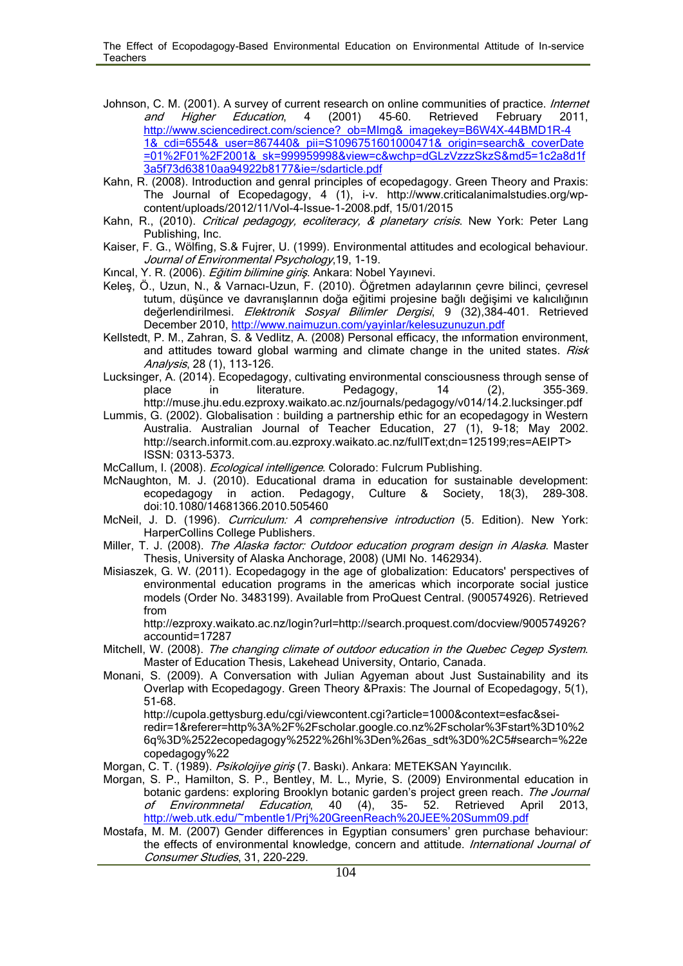- Johnson, C. M. (2001). A survey of current research on online communities of practice. *Internet and Higher Education*, 4 (2001) 45–60. Retrieved February 2011, http://www.sciencedirect.com/science?\_ob=MImg&\_imagekey=B6W4X-44BMD1R-4 1&\_cdi=6554&\_user=867440&\_pii=S1096751601000471&\_origin=search&\_coverDate =01%2F01%2F2001&\_sk=999959998&view=c&wchp=dGLzVzzzSkzS&md5=1c2a8d1f 3a5f73d63810aa94922b8177&ie=/sdarticle.pdf
- Kahn, R. (2008). Introduction and genral principles of ecopedagogy. Green Theory and Praxis: The Journal of Ecopedagogy, 4 (1), i-v. http://www.criticalanimalstudies.org/wp content/uploads/2012/11/Vol-4-Issue-1-2008.pdf, 15/01/2015
- Kahn, R., (2010). *Critical pedagogy, ecoliteracy, & planetary crisis*. New York: Peter Lang Publishing, Inc.
- Kaiser, F. G., Wölfing, S.& Fujrer, U. (1999). Environmental attitudes and ecological behaviour. *Journal of Environmental Psychology*,19, 1-19.
- Kıncal, Y. R. (2006). *Eğitim bilimine giriş*. Ankara: Nobel Yayınevi.
- Keleş, Ö., Uzun, N., & Varnacı-Uzun, F. (2010). Öğretmen adaylarının çevre bilinci, çevresel tutum, düşünce ve davranışlarının doğa eğitimi projesine bağlı değişimi ve kalıcılığının değerlendirilmesi. *Elektronik Sosyal Bilimler Dergisi*, 9 (32),384-401. Retrieved December 2010, http://www.naimuzun.com/yayinlar/kelesuzunuzun.pdf
- Kellstedt, P. M., Zahran, S. & Vedlitz, A. (2008) Personal efficacy, the ınformation environment, and attitudes toward global warming and climate change in the united states. *Risk Analysis*, 28 (1), 113-126.
- Lucksinger, A. (2014). Ecopedagogy, cultivating environmental consciousness through sense of place in literature. Pedagogy, 14 (2), 355-369. http://muse.jhu.edu.ezproxy.waikato.ac.nz/journals/pedagogy/v014/14.2.lucksinger.pdf
- Lummis, G. (2002). Globalisation : building a partnership ethic for an ecopedagogy in Western Australia. Australian Journal of Teacher Education, 27 (1), 9-18; May 2002. http://search.informit.com.au.ezproxy.waikato.ac.nz/fullText;dn=125199;res=AEIPT> ISSN: 0313-5373.

McCallum, I. (2008). *Ecological intelligence*. Colorado: Fulcrum Publishing.

- McNaughton, M. J. (2010). Educational drama in education for sustainable development: ecopedagogy in action. Pedagogy, Culture & Society, 18(3), 289-308. doi:10.1080/14681366.2010.505460
- McNeil, J. D. (1996). *Curriculum: A comprehensive introduction* (5. Edition). New York: HarperCollins College Publishers.
- Miller, T. J. (2008). *The Alaska factor: Outdoor education program design in Alaska*. Master Thesis, University of Alaska Anchorage, 2008) (UMI No. 1462934).
- Misiaszek, G. W. (2011). Ecopedagogy in the age of globalization: Educators' perspectives of environmental education programs in the americas which incorporate social justice models (Order No. 3483199). Available from ProQuest Central. (900574926). Retrieved from

http://ezproxy.waikato.ac.nz/login?url=http://search.proquest.com/docview/900574926? accountid=17287

- Mitchell, W. (2008). *The changing climate of outdoor education in the Quebec Cegep System*. Master of Education Thesis, Lakehead University, Ontario, Canada.
- Monani, S. (2009). A Conversation with Julian Agyeman about Just Sustainability and its Overlap with Ecopedagogy. Green Theory &Praxis: The Journal of Ecopedagogy, 5(1), 51-68.

http://cupola.gettysburg.edu/cgi/viewcontent.cgi?article=1000&context=esfac&seiredir=1&referer=http%3A%2F%2Fscholar.google.co.nz%2Fscholar%3Fstart%3D10%2 6q%3D%2522ecopedagogy%2522%26hl%3Den%26as\_sdt%3D0%2C5#search=%22e copedagogy%22

Morgan, C. T. (1989). *Psikolojiye giriş* (7. Baskı). Ankara: METEKSAN Yayıncılık.

- Morgan, S. P., Hamilton, S. P., Bentley, M. L., Myrie, S. (2009) Environmental education in botanic gardens: exploring Brooklyn botanic garden's project green reach. *The Journal of Environmnetal Education*, 40 (4), 35- 52. Retrieved April 2013, http://web.utk.edu/~mbentle1/Prj%20GreenReach%20JEE%20Summ09.pdf
- Mostafa, M. M. (2007) Gender differences in Egyptian consumers' gren purchase behaviour: the effects of environmental knowledge, concern and attitude. *International Journal of Consumer Studies*, 31, 220-229.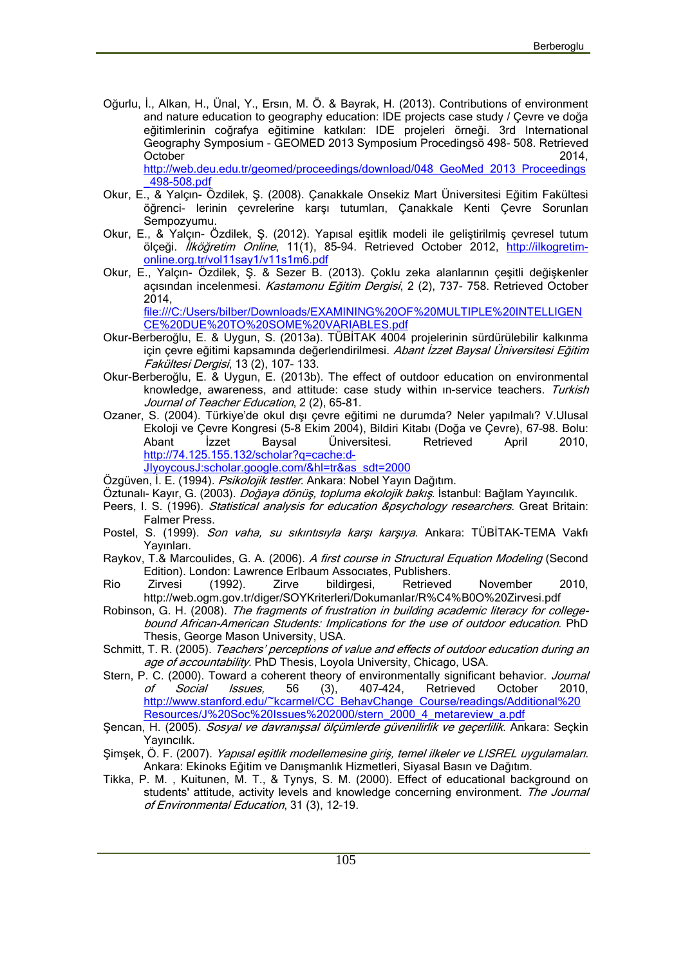Oğurlu, İ., Alkan, H., Ünal, Y., Ersın, M. Ö. & Bayrak, H. (2013). Contributions of environment and nature education to geography education: IDE projects case study / Çevre ve doğa eğitimlerinin coğrafya eğitimine katkıları: IDE projeleri örneği. 3rd International Geography Symposium - GEOMED 2013 Symposium Procedingsö 498- 508. Retrieved October 2014, http://web.deu.edu.tr/geomed/proceedings/download/048\_GeoMed\_2013\_Proceedings

\_498-508.pdf Okur, E., & Yalçın- Özdilek, Ş. (2008). Çanakkale Onsekiz Mart Üniversitesi Eğitim Fakültesi öğrenci- lerinin çevrelerine karşı tutumları, Çanakkale Kenti Cevre Sorunları Sempozyumu.

- Okur, E., & Yalçın- Özdilek, Ş. (2012). Yapısal eşitlik modeli ile geliştirilmiş çevresel tutum ölçeği. *İlköğretim Online*, 11(1), 85-94. Retrieved October 2012, http://ilkogretim online.org.tr/vol11say1/v11s1m6.pdf
- Okur, E., Yalçın- Özdilek, Ş. & Sezer B. (2013). Çoklu zeka alanlarının çeşitli değişkenler açısından incelenmesi. *Kastamonu Eğitim Dergisi*, 2 (2), 737- 758. Retrieved October 2014,

file:///C:/Users/bilber/Downloads/EXAMINING%20OF%20MULTIPLE%20INTELLIGEN CE%20DUE%20TO%20SOME%20VARIABLES.pdf

- Okur-Berberoğlu, E. & Uygun, S. (2013a). TÜBİTAK 4004 projelerinin sürdürülebilir kalkınma için çevre eğitimi kapsamında değerlendirilmesi. *Abant İzzet Baysal Üniversitesi Eğitim Fakültesi Dergisi*, 13 (2), 107- 133.
- Okur-Berberoğlu, E. & Uygun, E. (2013b). The effect of outdoor education on environmental knowledge, awareness, and attitude: case study within ın-service teachers. *Turkish Journal of Teacher Education*, 2 (2), 65-81.
- Ozaner, S. (2004). Türkiye'de okul dışı çevre eğitimi ne durumda? Neler yapılmalı? V.Ulusal Ekoloji ve Çevre Kongresi (5-8 Ekim 2004), Bildiri Kitabı (Doğa ve Çevre), 67–98. Bolu: Abant İzzet Baysal Üniversitesi. Retrieved April 2010, http://74.125.155.132/scholar?q=cache:d- JIyoycousJ:scholar.google.com/&hl=tr&as\_sdt=2000

Özgüven, İ. E. (1994). *Psikolojik testler*. Ankara: Nobel Yayın Dağıtım.

Öztunalı- Kayır, G. (2003). *Doğaya dönüş, topluma ekolojik bakış*. İstanbul: Bağlam Yayıncılık.

- Peers, I. S. (1996). *Statistical analysis for education &psychology researchers*. Great Britain: Falmer Press.
- Postel, S. (1999). *Son vaha, su sıkıntısıyla karşı karşıya*. Ankara: TÜBİTAK-TEMA Vakfı Yayınları.
- Raykov, T.& Marcoulides, G. A. (2006). *A first course in Structural Equation Modeling* (Second Edition). London: Lawrence Erlbaum Assocıates, Publishers.

Rio Zirvesi (1992). Zirve bildirgesi, Retrieved November 2010, http://web.ogm.gov.tr/diger/SOYKriterleri/Dokumanlar/R%C4%B0O%20Zirvesi.pdf

- Robinson, G. H. (2008). *The fragments of frustration in building academic literacy for collegebound African-American Students: Implications for the use of outdoor education*. PhD Thesis, George Mason University, USA.
- Schmitt, T. R. (2005). *Teachers' perceptions of value and effects of outdoor education during an age of accountability.* PhD Thesis, Loyola University, Chicago, USA.
- Stern, P. C. (2000). Toward a coherent theory of environmentally significant behavior. *Journal of Social Issues,* 56 (3), 407–424, Retrieved October 2010, http://www.stanford.edu/~kcarmel/CC\_BehavChange\_Course/readings/Additional%20 Resources/J%20Soc%20Issues%202000/stern\_2000\_4\_metareview\_a.pdf
- Şencan, H. (2005). *Sosyal ve davranışsal ölçümlerde güvenilirlik ve geçerlilik*. Ankara: Seçkin Yayıncılık.
- Şimşek, Ö. F. (2007). *Yapısal eşitlik modellemesine giriş, temel ilkeler ve LISREL uygulamaları*. Ankara: Ekinoks Eğitim ve Danışmanlık Hizmetleri, Siyasal Basın ve Dağıtım.
- Tikka, P. M. , Kuitunen, M. T., & Tynys, S. M. (2000). Effect of educational background on students' attitude, activity levels and knowledge concerning environment. *The Journal of Environmental Education*, 31 (3), 12-19.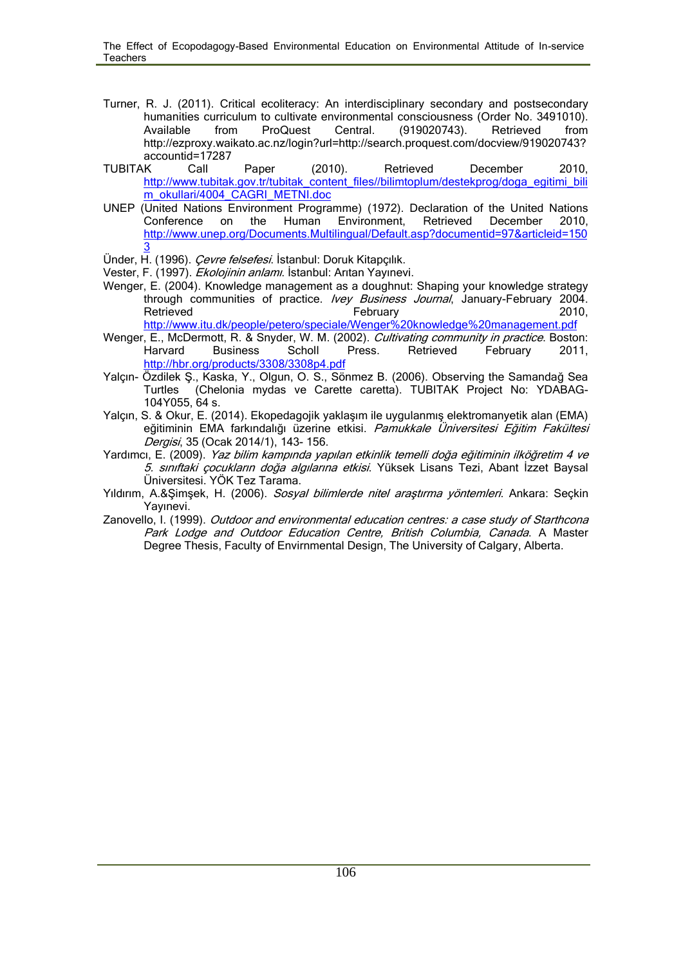- Turner, R. J. (2011). Critical ecoliteracy: An interdisciplinary secondary and postsecondary humanities curriculum to cultivate environmental consciousness (Order No. 3491010). Available from ProQuest Central. (919020743). Retrieved from http://ezproxy.waikato.ac.nz/login?url=http://search.proquest.com/docview/919020743? accountid=17287
- TUBITAK Call Paper (2010). Retrieved December 2010, http://www.tubitak.gov.tr/tubitak\_content\_files//bilimtoplum/destekprog/doga\_egitimi\_bili m\_okullari/4004\_CAGRI\_METNI.doc
- UNEP (United Nations Environment Programme) (1972). Declaration of the United Nations Conference on the Human Environment, Retrieved December 2010, http://www.unep.org/Documents.Multilingual/Default.asp?documentid=97&articleid=150  $\overline{3}$
- Ünder, H. (1996). *Çevre felsefesi*. İstanbul: Doruk Kitapçılık.
- Vester, F. (1997). *Ekolojinin anlamı*. İstanbul: Arıtan Yayınevi.
- Wenger, E. (2004). Knowledge management as a doughnut: Shaping your knowledge strategy through communities of practice. *Ivey Business Journal*, January-February 2004. Retrieved February 2010, http://www.itu.dk/people/petero/speciale/Wenger%20knowledge%20management.pdf
- Wenger, E., McDermott, R. & Snyder, W. M. (2002). *Cultivating community in practice*. Boston: Harvard Business Scholl Press. Retrieved February 2011, http://hbr.org/products/3308/3308p4.pdf
- Yalçın- Özdilek Ş., Kaska, Y., Olgun, O. S., Sönmez B. (2006). Observing the Samandağ Sea Turtles (Chelonia mydas ve Carette caretta). TUBITAK Project No: YDABAG- 104Y055, 64 s.
- Yalçın, S. & Okur, E. (2014). Ekopedagojik yaklaşım ile uygulanmış elektromanyetik alan (EMA) eğitiminin EMA farkındalığı üzerine etkisi. *Pamukkale Üniversitesi Eğitim Fakültesi Dergisi*, 35 (Ocak 2014/1), 143- 156.
- Yardımcı, E. (2009). *Yaz bilim kampında yapılan etkinlik temelli doğa eğitiminin ilköğretim 4 ve 5. sınıftaki çocukların doğa algılarına etkisi*. Yüksek Lisans Tezi, Abant İzzet Baysal Üniversitesi. YÖK Tez Tarama.
- Yıldırım, A.&Şimşek, H. (2006). *Sosyal bilimlerde nitel araştırma yöntemleri*. Ankara: Seçkin Yayınevi.
- Zanovello, I. (1999). *Outdoor and environmental education centres: a case study of Starthcona Park Lodge and Outdoor Education Centre, British Columbia, Canada*. A Master Degree Thesis, Faculty of Envirnmental Design, The University of Calgary, Alberta.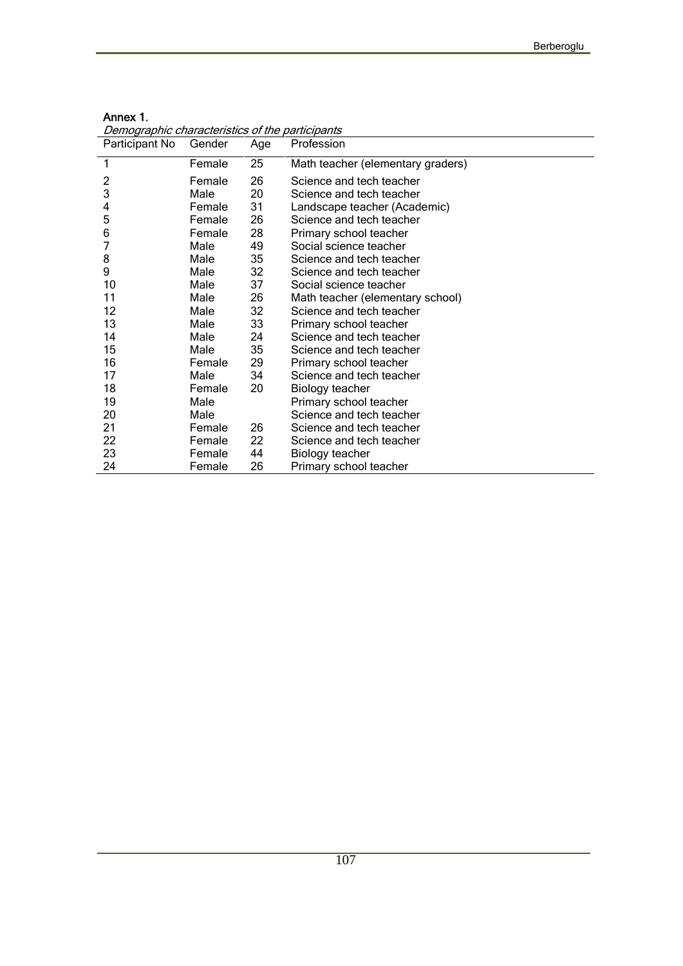| Demographic characteristics of the participants |        |     |                                   |
|-------------------------------------------------|--------|-----|-----------------------------------|
| Participant No                                  | Gender | Age | Profession                        |
| 1                                               | Female | 25  | Math teacher (elementary graders) |
| $\overline{c}$                                  | Female | 26  | Science and tech teacher          |
| 3                                               | Male   | 20  | Science and tech teacher          |
| 4                                               | Female | 31  | Landscape teacher (Academic)      |
| 5                                               | Female | 26  | Science and tech teacher          |
| 6                                               | Female | 28  | Primary school teacher            |
| 7                                               | Male   | 49  | Social science teacher            |
| 8                                               | Male   | 35  | Science and tech teacher          |
| 9                                               | Male   | 32  | Science and tech teacher          |
| 10                                              | Male   | 37  | Social science teacher            |
| 11                                              | Male   | 26  | Math teacher (elementary school)  |
| 12                                              | Male   | 32  | Science and tech teacher          |
| 13                                              | Male   | 33  | Primary school teacher            |
| 14                                              | Male   | 24  | Science and tech teacher          |
| 15                                              | Male   | 35  | Science and tech teacher          |
| 16                                              | Female | 29  | Primary school teacher            |
| 17                                              | Male   | 34  | Science and tech teacher          |
| 18                                              | Female | 20  | Biology teacher                   |
| 19                                              | Male   |     | Primary school teacher            |
| 20                                              | Male   |     | Science and tech teacher          |
| 21                                              | Female | 26  | Science and tech teacher          |
| 22                                              | Female | 22  | Science and tech teacher          |
| 23                                              | Female | 44  | Biology teacher                   |
| 24                                              | Female | 26  | Primary school teacher            |

| Annex 1.                                  |  |
|-------------------------------------------|--|
| Domographic characteristics of the partie |  |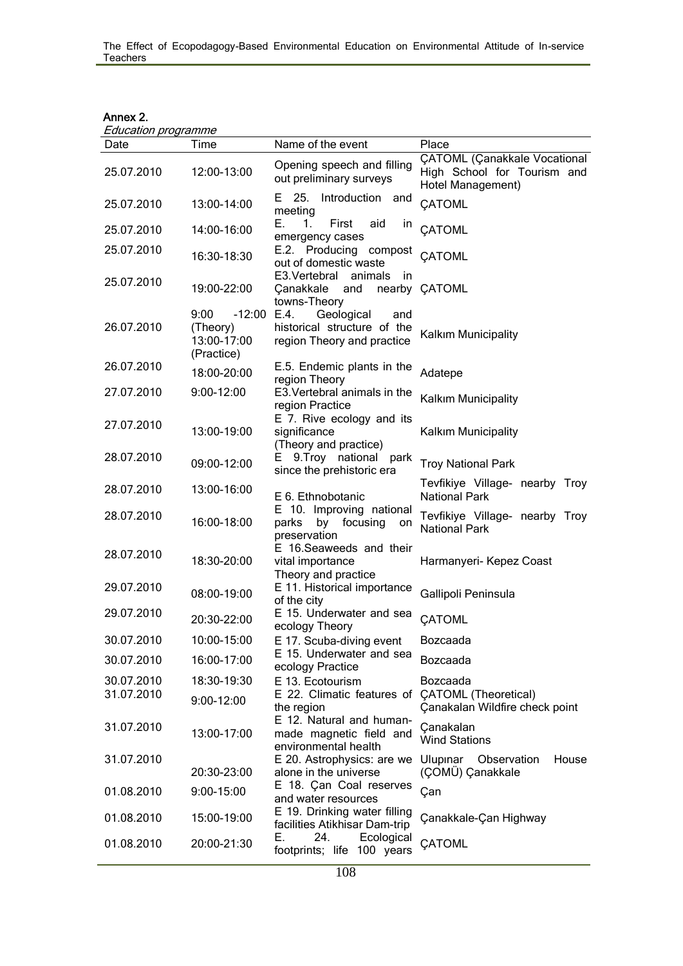| Annex 2. |  |
|----------|--|
|          |  |

| Education programme |                                                           |                                                                                        |                                                                                  |
|---------------------|-----------------------------------------------------------|----------------------------------------------------------------------------------------|----------------------------------------------------------------------------------|
| Date                | Time                                                      | Name of the event                                                                      | Place                                                                            |
| 25.07.2010          | 12:00-13:00                                               | Opening speech and filling<br>out preliminary surveys                                  | ÇATOML (Çanakkale Vocational<br>High School for Tourism and<br>Hotel Management) |
| 25.07.2010          | 13:00-14:00                                               | E 25. Introduction<br>and<br>meeting                                                   | <b>CATOML</b>                                                                    |
| 25.07.2010          | 14:00-16:00                                               | Е.<br>1.<br>First<br>aid<br>ın<br>emergency cases                                      | CATOML                                                                           |
| 25.07.2010          | 16:30-18:30                                               | E.2. Producing compost<br>out of domestic waste                                        | CATOML                                                                           |
| 25.07.2010          | 19:00-22:00                                               | E3. Vertebral animals<br>-in<br>Çanakkale<br>and<br>towns-Theory                       | nearby CATOML                                                                    |
| 26.07.2010          | 9:00<br>$-12:00$<br>(Theory)<br>13:00-17:00<br>(Practice) | E.4.<br>Geological<br>and<br>historical structure of the<br>region Theory and practice | Kalkım Municipality                                                              |
| 26.07.2010          | 18:00-20:00                                               | E.5. Endemic plants in the<br>region Theory                                            | Adatepe                                                                          |
| 27.07.2010          | 9:00-12:00                                                | E3. Vertebral animals in the<br>region Practice                                        | Kalkım Municipality                                                              |
| 27.07.2010          | 13:00-19:00                                               | E 7. Rive ecology and its<br>significance<br>(Theory and practice)                     | Kalkım Municipality                                                              |
| 28.07.2010          | 09:00-12:00                                               | E 9.Troy national park<br>since the prehistoric era                                    | <b>Troy National Park</b>                                                        |
| 28.07.2010          | 13:00-16:00                                               | E 6. Ethnobotanic                                                                      | Tevfikiye Village- nearby Troy<br><b>National Park</b>                           |
| 28.07.2010          | 16:00-18:00                                               | E 10. Improving national<br>parks<br>by focusing<br>on<br>preservation                 | Tevfikiye Village- nearby Troy<br><b>National Park</b>                           |
| 28.07.2010          | 18:30-20:00                                               | E 16. Seaweeds and their<br>vital importance<br>Theory and practice                    | Harmanyeri- Kepez Coast                                                          |
| 29.07.2010          | 08:00-19:00                                               | E 11. Historical importance<br>of the city                                             | Gallipoli Peninsula                                                              |
| 29.07.2010          | 20:30-22:00                                               | E 15. Underwater and sea<br>ecology Theory                                             | <b>CATOML</b>                                                                    |
| 30.07.2010          | 10:00-15:00                                               | E 17. Scuba-diving event                                                               | Bozcaada                                                                         |
| 30.07.2010          | 16:00-17:00                                               | E 15. Underwater and sea<br>ecology Practice                                           | Bozcaada                                                                         |
| 30.07.2010          | 18:30-19:30                                               | E 13. Ecotourism                                                                       | Bozcaada                                                                         |
| 31.07.2010          | $9:00 - 12:00$                                            | E 22. Climatic features of CATOML (Theoretical)<br>the region                          | Çanakalan Wildfire check point                                                   |
| 31.07.2010          | 13:00-17:00                                               | E 12. Natural and human-<br>made magnetic field and<br>environmental health            | Canakalan<br><b>Wind Stations</b>                                                |
| 31.07.2010          | 20:30-23:00                                               | E 20. Astrophysics: are we<br>alone in the universe                                    | Ulupinar Observation<br>House<br>(ÇOMÜ) Çanakkale                                |
| 01.08.2010          | 9:00-15:00                                                | E 18. Çan Coal reserves<br>and water resources                                         | Çan                                                                              |
| 01.08.2010          | 15:00-19:00                                               | E 19. Drinking water filling<br>facilities Atikhisar Dam-trip                          | Çanakkale-Çan Highway                                                            |
| 01.08.2010          | 20:00-21:30                                               | 24.<br>Ecological<br>Е.<br>footprints; life 100 years                                  | <b>ÇATOML</b>                                                                    |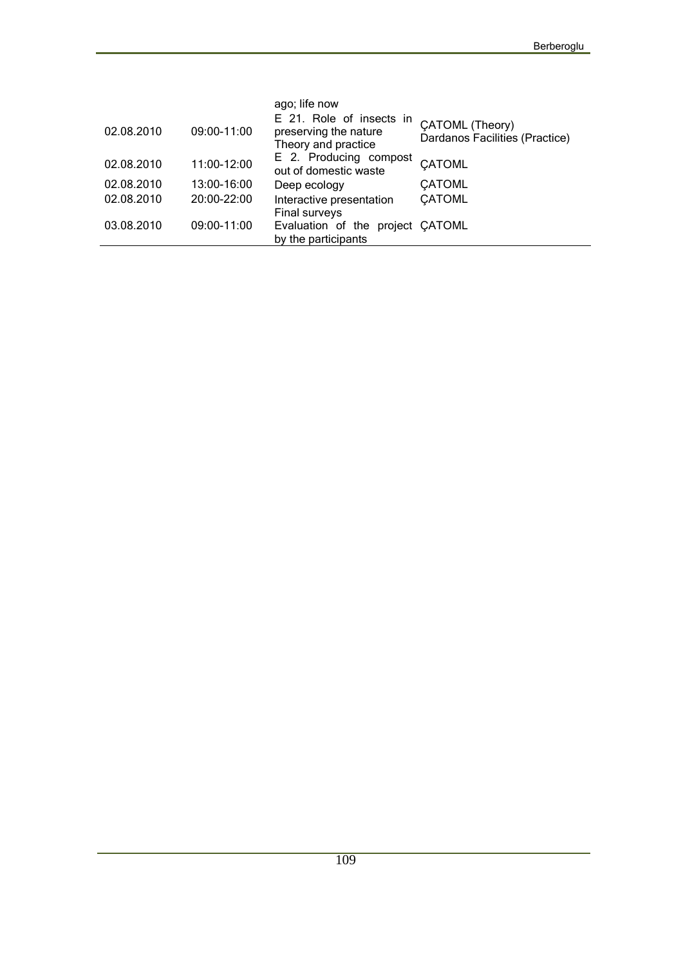|            |             | ago; life now                                                            |                                                   |
|------------|-------------|--------------------------------------------------------------------------|---------------------------------------------------|
| 02.08.2010 | 09:00-11:00 | E 21. Role of insects in<br>preserving the nature<br>Theory and practice | CATOML (Theory)<br>Dardanos Facilities (Practice) |
| 02.08.2010 | 11:00-12:00 | E 2. Producing compost<br>out of domestic waste                          | CATOML                                            |
| 02.08.2010 | 13:00-16:00 | Deep ecology                                                             | <b>CATOML</b>                                     |
| 02.08.2010 | 20:00-22:00 | Interactive presentation<br><b>Final surveys</b>                         | <b>CATOML</b>                                     |
| 03.08.2010 | 09:00-11:00 | Evaluation of the project CATOML<br>by the participants                  |                                                   |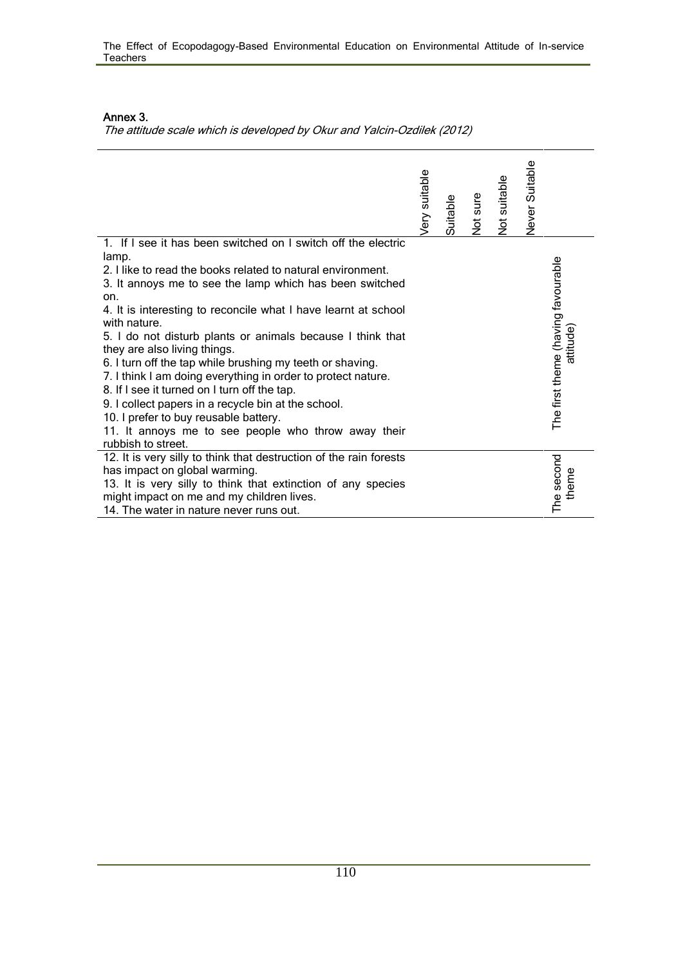#### **Annex 3.**

*The attitude scale which is developed by Okur and Yalcin-Ozdilek (2012)*

|                                                                                                                                                                                                                                                                                                                                                                                                                                                                                                                                                                                                                                                                                                                                                   | ery suitable | Suitable | Not sure | Not suitable | Never Suitable |                                                |  |
|---------------------------------------------------------------------------------------------------------------------------------------------------------------------------------------------------------------------------------------------------------------------------------------------------------------------------------------------------------------------------------------------------------------------------------------------------------------------------------------------------------------------------------------------------------------------------------------------------------------------------------------------------------------------------------------------------------------------------------------------------|--------------|----------|----------|--------------|----------------|------------------------------------------------|--|
| 1. If I see it has been switched on I switch off the electric<br>lamp.<br>2. I like to read the books related to natural environment.<br>3. It annoys me to see the lamp which has been switched<br>on.<br>4. It is interesting to reconcile what I have learnt at school<br>with nature.<br>5. I do not disturb plants or animals because I think that<br>they are also living things.<br>6. I turn off the tap while brushing my teeth or shaving.<br>7. I think I am doing everything in order to protect nature.<br>8. If I see it turned on I turn off the tap.<br>9. I collect papers in a recycle bin at the school.<br>10. I prefer to buy reusable battery.<br>11. It annoys me to see people who throw away their<br>rubbish to street. |              |          |          |              |                | The first theme (having favourable<br>attitude |  |
| 12. It is very silly to think that destruction of the rain forests<br>has impact on global warming.<br>13. It is very silly to think that extinction of any species<br>might impact on me and my children lives.<br>14. The water in nature never runs out.                                                                                                                                                                                                                                                                                                                                                                                                                                                                                       |              |          |          |              |                | The second<br>theme                            |  |